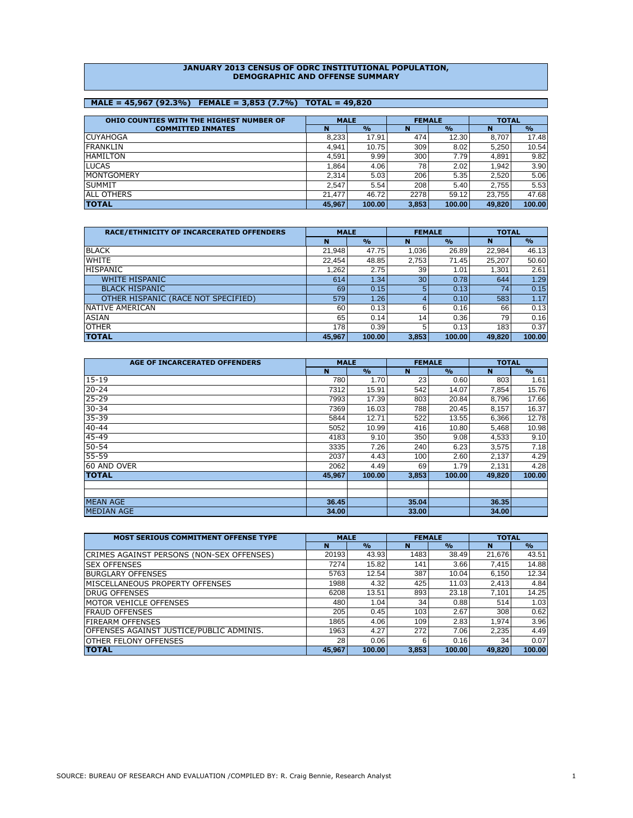#### **JANUARY 2013 CENSUS OF ODRC INSTITUTIONAL POPULATION, DEMOGRAPHIC AND OFFENSE SUMMARY**

# **MALE = 45,967 (92.3%) FEMALE = 3,853 (7.7%) TOTAL = 49,820**

| OHIO COUNTIES WITH THE HIGHEST NUMBER OF | <b>MALE</b> |               |       | <b>FEMALE</b> | <b>TOTAL</b> |               |
|------------------------------------------|-------------|---------------|-------|---------------|--------------|---------------|
| <b>COMMITTED INMATES</b>                 | N           | $\frac{0}{0}$ | N     | $\frac{0}{0}$ | N            | $\frac{6}{6}$ |
| <b>CUYAHOGA</b>                          | 8.233       | 17.91         | 474   | 12.30         | 8.707        | 17.48         |
| <b>IFRANKLIN</b>                         | 4.941       | 10.75         | 309   | 8.02          | 5,250        | 10.54         |
| <b>HAMILTON</b>                          | 4,591       | 9.99          | 300   | 7.79          | 4,891        | 9.82          |
| <b>ILUCAS</b>                            | l.864       | 4.06          | 78    | 2.02          | 1.942        | 3.90          |
| <b>IMONTGOMERY</b>                       | 2,314       | 5.03          | 206   | 5.35          | 2.520        | 5.06          |
| <b>SUMMIT</b>                            | 2.547       | 5.54          | 208   | 5.40          | 2.755        | 5.53          |
| <b>JALL OTHERS</b>                       | 21.477      | 46.72         | 2278  | 59.12         | 23.755       | 47.68         |
| <b>TOTAL</b>                             | 45,967      | 100.00        | 3,853 | 100.00        | 49,820       | 100.00        |

| RACE/ETHNICITY OF INCARCERATED OFFENDERS | <b>MALE</b> |               |                 | <b>FEMALE</b> | <b>TOTAL</b> |               |  |
|------------------------------------------|-------------|---------------|-----------------|---------------|--------------|---------------|--|
|                                          | N           | $\frac{0}{0}$ | N               | $\frac{0}{0}$ | N            | $\frac{6}{6}$ |  |
| <b>BLACK</b>                             | 21,948      | 47.75         | 1,036           | 26.89         | 22,984       | 46.13         |  |
| <b>WHITE</b>                             | 22,454      | 48.85         | 2,753           | 71.45         | 25,207       | 50.60         |  |
| <b>HISPANIC</b>                          | 1,262       | 2.75          | 39              | 1.01          | 1,301        | 2.61          |  |
| <b>WHITE HISPANIC</b>                    | 614         | 1.34          | 30 <sup>1</sup> | 0.78          | 644          | 1.29          |  |
| <b>BLACK HISPANIC</b>                    | 69          | 0.15          | 5.              | 0.13          | 74           | 0.15          |  |
| OTHER HISPANIC (RACE NOT SPECIFIED)      | 579         | 1.26          |                 | 0.10          | 583          | 1.17          |  |
| <b>INATIVE AMERICAN</b>                  | 60          | 0.13          | 6               | 0.16          | 66 l         | 0.13          |  |
| ASIAN                                    | 65          | 0.14          | 14              | 0.36          | 79           | 0.16          |  |
| <b>OTHER</b>                             | 178         | 0.39          | 5               | 0.13          | 183          | 0.37          |  |
| <b>TOTAL</b>                             | 45,967      | 100.00        | 3,853           | 100.00        | 49,820       | 100.00        |  |

| AGE OF INCARCERATED OFFENDERS | <b>MALE</b> |               | <b>FEMALE</b> |               | <b>TOTAL</b> |               |
|-------------------------------|-------------|---------------|---------------|---------------|--------------|---------------|
|                               | N           | $\frac{6}{6}$ | N             | $\frac{6}{6}$ | N            | $\frac{6}{6}$ |
| $15 - 19$                     | 780         | 1.70          | 23            | 0.60          | 803          | 1.61          |
| $20 - 24$                     | 7312        | 15.91         | 542           | 14.07         | 7,854        | 15.76         |
| 25-29                         | 7993        | 17.39         | 803           | 20.84         | 8,796        | 17.66         |
| $30 - 34$                     | 7369        | 16.03         | 788           | 20.45         | 8,157        | 16.37         |
| 35-39                         | 5844        | 12.71         | 522           | 13.55         | 6,366        | 12.78         |
| $40 - 44$                     | 5052        | 10.99         | 416           | 10.80         | 5,468        | 10.98         |
| 45-49                         | 4183        | 9.10          | 350           | 9.08          | 4,533        | 9.10          |
| $50 - 54$                     | 3335        | 7.26          | 240           | 6.23          | 3,575        | 7.18          |
| 55-59                         | 2037        | 4.43          | 100           | 2.60          | 2,137        | 4.29          |
| 60 AND OVER                   | 2062        | 4.49          | 69            | 1.79          | 2,131        | 4.28          |
| <b>TOTAL</b>                  | 45,967      | 100.00        | 3,853         | 100.00        | 49,820       | 100.00        |
|                               |             |               |               |               |              |               |
|                               |             |               |               |               |              |               |
| <b>MEAN AGE</b>               | 36.45       |               | 35.04         |               | 36.35        |               |
| <b>MEDIAN AGE</b>             | 34.00       |               | 33,00         |               | 34.00        |               |

| <b>MOST SERIOUS COMMITMENT OFFENSE TYPE</b> | <b>MALE</b> |               | <b>FEMALE</b> |               | <b>TOTAL</b> |               |  |
|---------------------------------------------|-------------|---------------|---------------|---------------|--------------|---------------|--|
|                                             | N           | $\frac{0}{0}$ | N             | $\frac{0}{0}$ | N            | $\frac{6}{6}$ |  |
| CRIMES AGAINST PERSONS (NON-SEX OFFENSES)   | 20193       | 43.93         | 1483          | 38.49         | 21,676       | 43.51         |  |
| <b>SEX OFFENSES</b>                         | 7274        | 15.82         | 141           | 3.66          | 7,415        | 14.88         |  |
| <b>BURGLARY OFFENSES</b>                    | 5763        | 12.54         | 387           | 10.04         | 6,150        | 12.34         |  |
| MISCELLANEOUS PROPERTY OFFENSES             | 1988        | 4.32          | 425           | 11.03         | 2.413        | 4.84          |  |
| <b>DRUG OFFENSES</b>                        | 6208        | 13.51         | 893           | 23.18         | 7.101        | 14.25         |  |
| <b>MOTOR VEHICLE OFFENSES</b>               | 480         | 1.04          | 34            | 0.88          | 514          | 1.03          |  |
| <b>FRAUD OFFENSES</b>                       | 205         | 0.45          | 103           | 2.67          | 308          | 0.62          |  |
| <b>FIREARM OFFENSES</b>                     | 1865        | 4.06          | 109           | 2.83          | 1.974        | 3.96          |  |
| OFFENSES AGAINST JUSTICE/PUBLIC ADMINIS.    | 1963        | 4.27          | 272           | 7.06          | 2,235        | 4.49          |  |
| <b>OTHER FELONY OFFENSES</b>                | 28          | 0.06          | 6             | 0.16          | 34           | 0.07          |  |
| <b>TOTAL</b>                                | 45,967      | 100.00        | 3,853         | 100.00        | 49.820       | 100.00        |  |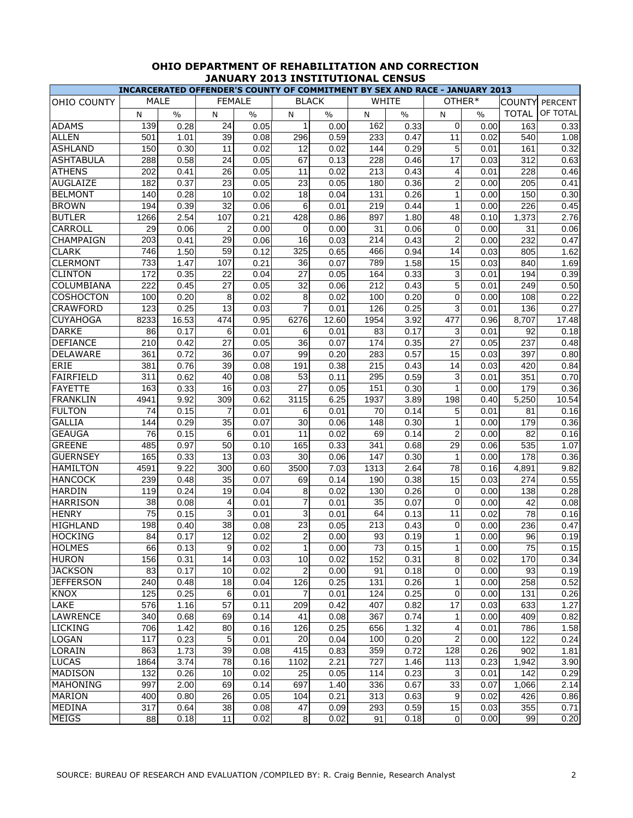| <b>MALE</b><br><b>FEMALE</b><br><b>WHITE</b><br>OTHER*<br><b>BLACK</b><br><b>COUNTY</b><br><b>PERCENT</b><br>OF TOTAL<br><b>TOTAL</b><br>$\frac{0}{0}$<br>$\frac{0}{0}$<br>$\frac{0}{0}$<br>N<br>$\%$<br>${\sf N}$<br>N<br>N<br>$\frac{0}{0}$<br>N<br>139<br>0.28<br>24<br>162<br>0.33<br>163<br>0.33<br>0.05<br>1<br>0.00<br>$\Omega$<br>0.00<br>501<br>39<br>296<br>233<br><b>ALLEN</b><br>0.59<br>0.47<br>11<br>540<br>1.08<br>1.01<br>0.08<br>0.02<br><b>ASHLAND</b><br>150<br>0.30<br>11<br>0.02<br>12<br>0.29<br>5<br>161<br>0.32<br>0.02<br>144<br>0.01<br>0.58<br><b>ASHTABULA</b><br>288<br>24<br>67<br>228<br>0.46<br>17<br>312<br>0.63<br>0.05<br>0.13<br>0.03<br>202<br>26<br>11<br>213<br><b>ATHENS</b><br>0.41<br>0.43<br>228<br>0.46<br>0.05<br>0.02<br>4<br>0.01<br>23<br>23<br><b>AUGLAIZE</b><br>182<br>0.37<br>180<br>0.36<br>2<br>205<br>0.41<br>0.05<br>0.05<br>0.00<br><b>BELMONT</b><br>0.28<br>140<br>10<br>0.02<br>18<br>131<br>0.26<br>150<br>0.30<br>0.04<br>0.00<br>32<br>194<br>6<br>219<br>226<br>0.39<br>0.44<br>1<br>0.45<br>0.06<br>0.01<br>0.00<br>2.54<br>107<br>1.80<br>1266<br>0.21<br>428<br>897<br>48<br>0.10<br>1,373<br>2.76<br>0.86<br>$\overline{c}$<br>CARROLL<br>29<br>0.06<br>0.00<br>$\Omega$<br>31<br>0.06<br>$\Omega$<br>31<br>0.06<br>0.00<br>0.00<br>29<br>$\overline{2}$<br>203<br>16<br>214<br>CHAMPAIGN<br>0.41<br>0.43<br>232<br>0.47<br>0.06<br>0.03<br>0.00<br><b>CLARK</b><br>59<br>746<br>1.50<br>0.12<br>325<br>0.94<br>14<br>1.62<br>0.65<br>466<br>0.03<br>805<br>1.58<br><b>CLERMONT</b><br>733<br>1.47<br>107<br>0.21<br>36<br>789<br>15<br>0.03<br>840<br>1.69<br>0.07<br>172<br>3<br>22<br>27<br><b>CLINTON</b><br>0.35<br>0.04<br>164<br>0.33<br>194<br>0.39<br>0.05<br>0.01<br>5<br>222<br>27<br>COLUMBIANA<br>0.45<br>0.05<br>32<br>212<br>0.43<br>249<br>0.50<br>0.06<br>0.01<br><b>COSHOCTON</b><br>100<br>0.20<br>8<br>0.02<br>8<br>0.20<br>0<br>108<br>0.22<br>0.02<br>100<br>0.00<br>13<br>7<br>123<br>0.25<br>126<br>3<br><b>CRAWFORD</b><br>0.03<br>0.25<br>136<br>0.27<br>0.01<br>0.01<br><b>CUYAHOGA</b><br>3.92<br>16.53<br>474<br>0.95<br>6276<br>8,707<br>17.48<br>8233<br>12.60<br>1954<br>477<br>0.96<br><b>DARKE</b><br>6<br>3<br>86<br>0.17<br>6<br>83<br>0.17<br>92<br>0.18<br>0.01<br>0.01<br>0.01<br><b>DEFIANCE</b><br>0.42<br>27<br>0.35<br>27<br>237<br>0.48<br>210<br>0.05<br>36<br>174<br>0.07<br>0.05<br>DELAWARE<br>0.72<br>99<br>0.57<br>36<br>283<br>15<br>397<br>0.80<br>361<br>0.07<br>0.20<br>0.03<br><b>ERIE</b><br>381<br>39<br>191<br>215<br>14<br>0.76<br>0.43<br>420<br>0.84<br>0.08<br>0.38<br>0.03<br><b>FAIRFIELD</b><br>0.62<br>0.59<br>351<br>311<br>40<br>53<br>295<br>3<br>0.70<br>0.08<br>0.11<br>0.01<br><b>FAYETTE</b><br>27<br>163<br>0.33<br>16<br>151<br>0.30<br>179<br>0.36<br>0.03<br>0.05<br>1<br>0.00<br><b>FRANKLIN</b><br>1937<br>198<br>4941<br>9.92<br>309<br>0.62<br>3115<br>6.25<br>3.89<br>5,250<br>10.54<br>0.40<br><b>FULTON</b><br>0.15<br>$\overline{7}$<br>6<br>5<br>81<br>0.16<br>74<br>0.01<br>0.01<br>70<br>0.14<br>0.01<br><b>GALLIA</b><br>144<br>0.29<br>35<br>0.07<br>30<br>148<br>0.30<br>179<br>0.36<br>0.06<br>0.00<br>1<br>6<br>11<br>2<br><b>GEAUGA</b><br>76<br>69<br>0.14<br>82<br>0.16<br>0.15<br>0.01<br>0.02<br>0.00<br>50<br>29<br><b>GREENE</b><br>485<br>0.97<br>341<br>0.68<br>535<br>1.07<br>0.10<br>165<br>0.33<br>0.06<br><b>GUERNSEY</b><br>0.33<br>13<br>30<br>0.30<br>178<br>0.36<br>165<br>0.03<br>0.06<br>147<br>0.00<br>1<br>4591<br>3500<br>78<br>9.82<br><b>HAMILTON</b><br>9.22<br>300<br>1313<br>2.64<br>4,891<br>0.60<br>7.03<br>0.16<br><b>HANCOCK</b><br>239<br>0.48<br>35<br>0.38<br>0.55<br>0.07<br>69<br>0.14<br>190<br>15<br>0.03<br>274<br><b>HARDIN</b><br>0.28<br>119<br>0.24<br>19<br>8<br>0.26<br>0.04<br>0.02<br>130<br>$\Omega$<br>0.00<br>138<br>$\overline{7}$<br><b>HARRISON</b><br>38<br>35<br>0.08<br>0.07<br>$\Omega$<br>42<br>0.08<br>4<br>0.01<br>0.01<br>0.00<br>$\overline{75}$<br>$\mathsf{3}$<br><b>HENRY</b><br>0.15<br>3<br>0.01<br>64<br>0.13<br>11<br>0.02<br>78<br>0.16<br>0.01<br>38<br>23<br>0.43<br>0.47<br>HIGHLAND<br>0.40<br>0.05<br>213<br>$\Omega$<br>236<br>198<br>0.08<br>0.00<br>12<br>$\overline{a}$<br><b>HOCKING</b><br>84<br>93<br>1<br>0.17<br>0.02<br>0.00<br>0.19<br>96<br>0.19<br>0.00<br>66<br>9<br>1<br>73<br>75<br><b>HOLMES</b><br>0.13<br>0.02<br>0.00<br>0.15<br>1<br>0.15<br>0.00<br><b>HURON</b><br>156<br>14<br>10<br>0.31<br>8<br>0.31<br>0.03<br>0.02<br>152<br>0.02<br>170<br>0.34<br>$\overline{a}$<br>83<br>10<br>0<br><b>JACKSON</b><br>0.17<br>0.02<br>0.00<br>91<br>0.18<br>93<br>0.00<br>0.19<br>240<br>18<br>0.26<br><b>JEFFERSON</b><br>0.48<br>126<br>0.25<br>131<br>1<br>0.00<br>258<br>0.52<br>0.04<br>0.25<br>0.25<br><b>KNOX</b><br>125<br>6<br>0.01<br>7<br>0<br>131<br>0.26<br>0.01<br>124<br>0.00<br>57<br>17<br>LAKE<br>576<br>209<br>407<br>0.82<br>1.16<br>0.11<br>0.42<br>0.03<br>633<br>1.27<br><b>LAWRENCE</b><br>69<br>0.74<br>340<br>0.68<br>41<br>0.08<br>367<br>1<br>409<br>0.82<br>0.14<br>0.00<br><b>LICKING</b><br>706<br>1.42<br>1.32<br>786<br>1.58<br>80<br>0.16<br>126<br>0.25<br>656<br>4<br>0.01<br>$\overline{c}$<br>117<br>$5\overline{)}$<br>20<br>100<br>LOGAN<br>0.23<br>0.01<br>0.04<br>0.20<br>122<br>0.24<br>0.00<br>1.73<br>39<br>415<br>0.72<br>128<br>LORAIN<br>863<br>0.08<br>0.83<br>359<br>902<br>0.26<br>1.81 |                 |  | INCARCERATED OFFENDER'S COUNTY OF COMMITMENT BY SEX AND RACE - JANUARY 2013 |  |  |  |  |  |  |  |  |  |  |  |
|-------------------------------------------------------------------------------------------------------------------------------------------------------------------------------------------------------------------------------------------------------------------------------------------------------------------------------------------------------------------------------------------------------------------------------------------------------------------------------------------------------------------------------------------------------------------------------------------------------------------------------------------------------------------------------------------------------------------------------------------------------------------------------------------------------------------------------------------------------------------------------------------------------------------------------------------------------------------------------------------------------------------------------------------------------------------------------------------------------------------------------------------------------------------------------------------------------------------------------------------------------------------------------------------------------------------------------------------------------------------------------------------------------------------------------------------------------------------------------------------------------------------------------------------------------------------------------------------------------------------------------------------------------------------------------------------------------------------------------------------------------------------------------------------------------------------------------------------------------------------------------------------------------------------------------------------------------------------------------------------------------------------------------------------------------------------------------------------------------------------------------------------------------------------------------------------------------------------------------------------------------------------------------------------------------------------------------------------------------------------------------------------------------------------------------------------------------------------------------------------------------------------------------------------------------------------------------------------------------------------------------------------------------------------------------------------------------------------------------------------------------------------------------------------------------------------------------------------------------------------------------------------------------------------------------------------------------------------------------------------------------------------------------------------------------------------------------------------------------------------------------------------------------------------------------------------------------------------------------------------------------------------------------------------------------------------------------------------------------------------------------------------------------------------------------------------------------------------------------------------------------------------------------------------------------------------------------------------------------------------------------------------------------------------------------------------------------------------------------------------------------------------------------------------------------------------------------------------------------------------------------------------------------------------------------------------------------------------------------------------------------------------------------------------------------------------------------------------------------------------------------------------------------------------------------------------------------------------------------------------------------------------------------------------------------------------------------------------------------------------------------------------------------------------------------------------------------------------------------------------------------------------------------------------------------------------------------------------------------------------------------------------------------------------------------------------------------------------------------------------------------------------------------------------------------------------------------------------------------------------------------------------------------------------------------------------------------------------------------------------------------------------------------------------------------------------------------------------------------------------------------------------------------------------------------------------------------------------------------------------------------------------------------------------------------------------------------------------------------------------------------------------------------|-----------------|--|-----------------------------------------------------------------------------|--|--|--|--|--|--|--|--|--|--|--|
|                                                                                                                                                                                                                                                                                                                                                                                                                                                                                                                                                                                                                                                                                                                                                                                                                                                                                                                                                                                                                                                                                                                                                                                                                                                                                                                                                                                                                                                                                                                                                                                                                                                                                                                                                                                                                                                                                                                                                                                                                                                                                                                                                                                                                                                                                                                                                                                                                                                                                                                                                                                                                                                                                                                                                                                                                                                                                                                                                                                                                                                                                                                                                                                                                                                                                                                                                                                                                                                                                                                                                                                                                                                                                                                                                                                                                                                                                                                                                                                                                                                                                                                                                                                                                                                                                                                                                                                                                                                                                                                                                                                                                                                                                                                                                                                                                                                                                                                                                                                                                                                                                                                                                                                                                                                                                                                                                                                                       | OHIO COUNTY     |  |                                                                             |  |  |  |  |  |  |  |  |  |  |  |
|                                                                                                                                                                                                                                                                                                                                                                                                                                                                                                                                                                                                                                                                                                                                                                                                                                                                                                                                                                                                                                                                                                                                                                                                                                                                                                                                                                                                                                                                                                                                                                                                                                                                                                                                                                                                                                                                                                                                                                                                                                                                                                                                                                                                                                                                                                                                                                                                                                                                                                                                                                                                                                                                                                                                                                                                                                                                                                                                                                                                                                                                                                                                                                                                                                                                                                                                                                                                                                                                                                                                                                                                                                                                                                                                                                                                                                                                                                                                                                                                                                                                                                                                                                                                                                                                                                                                                                                                                                                                                                                                                                                                                                                                                                                                                                                                                                                                                                                                                                                                                                                                                                                                                                                                                                                                                                                                                                                                       |                 |  |                                                                             |  |  |  |  |  |  |  |  |  |  |  |
|                                                                                                                                                                                                                                                                                                                                                                                                                                                                                                                                                                                                                                                                                                                                                                                                                                                                                                                                                                                                                                                                                                                                                                                                                                                                                                                                                                                                                                                                                                                                                                                                                                                                                                                                                                                                                                                                                                                                                                                                                                                                                                                                                                                                                                                                                                                                                                                                                                                                                                                                                                                                                                                                                                                                                                                                                                                                                                                                                                                                                                                                                                                                                                                                                                                                                                                                                                                                                                                                                                                                                                                                                                                                                                                                                                                                                                                                                                                                                                                                                                                                                                                                                                                                                                                                                                                                                                                                                                                                                                                                                                                                                                                                                                                                                                                                                                                                                                                                                                                                                                                                                                                                                                                                                                                                                                                                                                                                       | <b>ADAMS</b>    |  |                                                                             |  |  |  |  |  |  |  |  |  |  |  |
|                                                                                                                                                                                                                                                                                                                                                                                                                                                                                                                                                                                                                                                                                                                                                                                                                                                                                                                                                                                                                                                                                                                                                                                                                                                                                                                                                                                                                                                                                                                                                                                                                                                                                                                                                                                                                                                                                                                                                                                                                                                                                                                                                                                                                                                                                                                                                                                                                                                                                                                                                                                                                                                                                                                                                                                                                                                                                                                                                                                                                                                                                                                                                                                                                                                                                                                                                                                                                                                                                                                                                                                                                                                                                                                                                                                                                                                                                                                                                                                                                                                                                                                                                                                                                                                                                                                                                                                                                                                                                                                                                                                                                                                                                                                                                                                                                                                                                                                                                                                                                                                                                                                                                                                                                                                                                                                                                                                                       |                 |  |                                                                             |  |  |  |  |  |  |  |  |  |  |  |
|                                                                                                                                                                                                                                                                                                                                                                                                                                                                                                                                                                                                                                                                                                                                                                                                                                                                                                                                                                                                                                                                                                                                                                                                                                                                                                                                                                                                                                                                                                                                                                                                                                                                                                                                                                                                                                                                                                                                                                                                                                                                                                                                                                                                                                                                                                                                                                                                                                                                                                                                                                                                                                                                                                                                                                                                                                                                                                                                                                                                                                                                                                                                                                                                                                                                                                                                                                                                                                                                                                                                                                                                                                                                                                                                                                                                                                                                                                                                                                                                                                                                                                                                                                                                                                                                                                                                                                                                                                                                                                                                                                                                                                                                                                                                                                                                                                                                                                                                                                                                                                                                                                                                                                                                                                                                                                                                                                                                       |                 |  |                                                                             |  |  |  |  |  |  |  |  |  |  |  |
|                                                                                                                                                                                                                                                                                                                                                                                                                                                                                                                                                                                                                                                                                                                                                                                                                                                                                                                                                                                                                                                                                                                                                                                                                                                                                                                                                                                                                                                                                                                                                                                                                                                                                                                                                                                                                                                                                                                                                                                                                                                                                                                                                                                                                                                                                                                                                                                                                                                                                                                                                                                                                                                                                                                                                                                                                                                                                                                                                                                                                                                                                                                                                                                                                                                                                                                                                                                                                                                                                                                                                                                                                                                                                                                                                                                                                                                                                                                                                                                                                                                                                                                                                                                                                                                                                                                                                                                                                                                                                                                                                                                                                                                                                                                                                                                                                                                                                                                                                                                                                                                                                                                                                                                                                                                                                                                                                                                                       |                 |  |                                                                             |  |  |  |  |  |  |  |  |  |  |  |
|                                                                                                                                                                                                                                                                                                                                                                                                                                                                                                                                                                                                                                                                                                                                                                                                                                                                                                                                                                                                                                                                                                                                                                                                                                                                                                                                                                                                                                                                                                                                                                                                                                                                                                                                                                                                                                                                                                                                                                                                                                                                                                                                                                                                                                                                                                                                                                                                                                                                                                                                                                                                                                                                                                                                                                                                                                                                                                                                                                                                                                                                                                                                                                                                                                                                                                                                                                                                                                                                                                                                                                                                                                                                                                                                                                                                                                                                                                                                                                                                                                                                                                                                                                                                                                                                                                                                                                                                                                                                                                                                                                                                                                                                                                                                                                                                                                                                                                                                                                                                                                                                                                                                                                                                                                                                                                                                                                                                       |                 |  |                                                                             |  |  |  |  |  |  |  |  |  |  |  |
|                                                                                                                                                                                                                                                                                                                                                                                                                                                                                                                                                                                                                                                                                                                                                                                                                                                                                                                                                                                                                                                                                                                                                                                                                                                                                                                                                                                                                                                                                                                                                                                                                                                                                                                                                                                                                                                                                                                                                                                                                                                                                                                                                                                                                                                                                                                                                                                                                                                                                                                                                                                                                                                                                                                                                                                                                                                                                                                                                                                                                                                                                                                                                                                                                                                                                                                                                                                                                                                                                                                                                                                                                                                                                                                                                                                                                                                                                                                                                                                                                                                                                                                                                                                                                                                                                                                                                                                                                                                                                                                                                                                                                                                                                                                                                                                                                                                                                                                                                                                                                                                                                                                                                                                                                                                                                                                                                                                                       |                 |  |                                                                             |  |  |  |  |  |  |  |  |  |  |  |
|                                                                                                                                                                                                                                                                                                                                                                                                                                                                                                                                                                                                                                                                                                                                                                                                                                                                                                                                                                                                                                                                                                                                                                                                                                                                                                                                                                                                                                                                                                                                                                                                                                                                                                                                                                                                                                                                                                                                                                                                                                                                                                                                                                                                                                                                                                                                                                                                                                                                                                                                                                                                                                                                                                                                                                                                                                                                                                                                                                                                                                                                                                                                                                                                                                                                                                                                                                                                                                                                                                                                                                                                                                                                                                                                                                                                                                                                                                                                                                                                                                                                                                                                                                                                                                                                                                                                                                                                                                                                                                                                                                                                                                                                                                                                                                                                                                                                                                                                                                                                                                                                                                                                                                                                                                                                                                                                                                                                       |                 |  |                                                                             |  |  |  |  |  |  |  |  |  |  |  |
|                                                                                                                                                                                                                                                                                                                                                                                                                                                                                                                                                                                                                                                                                                                                                                                                                                                                                                                                                                                                                                                                                                                                                                                                                                                                                                                                                                                                                                                                                                                                                                                                                                                                                                                                                                                                                                                                                                                                                                                                                                                                                                                                                                                                                                                                                                                                                                                                                                                                                                                                                                                                                                                                                                                                                                                                                                                                                                                                                                                                                                                                                                                                                                                                                                                                                                                                                                                                                                                                                                                                                                                                                                                                                                                                                                                                                                                                                                                                                                                                                                                                                                                                                                                                                                                                                                                                                                                                                                                                                                                                                                                                                                                                                                                                                                                                                                                                                                                                                                                                                                                                                                                                                                                                                                                                                                                                                                                                       | <b>BROWN</b>    |  |                                                                             |  |  |  |  |  |  |  |  |  |  |  |
|                                                                                                                                                                                                                                                                                                                                                                                                                                                                                                                                                                                                                                                                                                                                                                                                                                                                                                                                                                                                                                                                                                                                                                                                                                                                                                                                                                                                                                                                                                                                                                                                                                                                                                                                                                                                                                                                                                                                                                                                                                                                                                                                                                                                                                                                                                                                                                                                                                                                                                                                                                                                                                                                                                                                                                                                                                                                                                                                                                                                                                                                                                                                                                                                                                                                                                                                                                                                                                                                                                                                                                                                                                                                                                                                                                                                                                                                                                                                                                                                                                                                                                                                                                                                                                                                                                                                                                                                                                                                                                                                                                                                                                                                                                                                                                                                                                                                                                                                                                                                                                                                                                                                                                                                                                                                                                                                                                                                       | <b>BUTLER</b>   |  |                                                                             |  |  |  |  |  |  |  |  |  |  |  |
|                                                                                                                                                                                                                                                                                                                                                                                                                                                                                                                                                                                                                                                                                                                                                                                                                                                                                                                                                                                                                                                                                                                                                                                                                                                                                                                                                                                                                                                                                                                                                                                                                                                                                                                                                                                                                                                                                                                                                                                                                                                                                                                                                                                                                                                                                                                                                                                                                                                                                                                                                                                                                                                                                                                                                                                                                                                                                                                                                                                                                                                                                                                                                                                                                                                                                                                                                                                                                                                                                                                                                                                                                                                                                                                                                                                                                                                                                                                                                                                                                                                                                                                                                                                                                                                                                                                                                                                                                                                                                                                                                                                                                                                                                                                                                                                                                                                                                                                                                                                                                                                                                                                                                                                                                                                                                                                                                                                                       |                 |  |                                                                             |  |  |  |  |  |  |  |  |  |  |  |
|                                                                                                                                                                                                                                                                                                                                                                                                                                                                                                                                                                                                                                                                                                                                                                                                                                                                                                                                                                                                                                                                                                                                                                                                                                                                                                                                                                                                                                                                                                                                                                                                                                                                                                                                                                                                                                                                                                                                                                                                                                                                                                                                                                                                                                                                                                                                                                                                                                                                                                                                                                                                                                                                                                                                                                                                                                                                                                                                                                                                                                                                                                                                                                                                                                                                                                                                                                                                                                                                                                                                                                                                                                                                                                                                                                                                                                                                                                                                                                                                                                                                                                                                                                                                                                                                                                                                                                                                                                                                                                                                                                                                                                                                                                                                                                                                                                                                                                                                                                                                                                                                                                                                                                                                                                                                                                                                                                                                       |                 |  |                                                                             |  |  |  |  |  |  |  |  |  |  |  |
|                                                                                                                                                                                                                                                                                                                                                                                                                                                                                                                                                                                                                                                                                                                                                                                                                                                                                                                                                                                                                                                                                                                                                                                                                                                                                                                                                                                                                                                                                                                                                                                                                                                                                                                                                                                                                                                                                                                                                                                                                                                                                                                                                                                                                                                                                                                                                                                                                                                                                                                                                                                                                                                                                                                                                                                                                                                                                                                                                                                                                                                                                                                                                                                                                                                                                                                                                                                                                                                                                                                                                                                                                                                                                                                                                                                                                                                                                                                                                                                                                                                                                                                                                                                                                                                                                                                                                                                                                                                                                                                                                                                                                                                                                                                                                                                                                                                                                                                                                                                                                                                                                                                                                                                                                                                                                                                                                                                                       |                 |  |                                                                             |  |  |  |  |  |  |  |  |  |  |  |
|                                                                                                                                                                                                                                                                                                                                                                                                                                                                                                                                                                                                                                                                                                                                                                                                                                                                                                                                                                                                                                                                                                                                                                                                                                                                                                                                                                                                                                                                                                                                                                                                                                                                                                                                                                                                                                                                                                                                                                                                                                                                                                                                                                                                                                                                                                                                                                                                                                                                                                                                                                                                                                                                                                                                                                                                                                                                                                                                                                                                                                                                                                                                                                                                                                                                                                                                                                                                                                                                                                                                                                                                                                                                                                                                                                                                                                                                                                                                                                                                                                                                                                                                                                                                                                                                                                                                                                                                                                                                                                                                                                                                                                                                                                                                                                                                                                                                                                                                                                                                                                                                                                                                                                                                                                                                                                                                                                                                       |                 |  |                                                                             |  |  |  |  |  |  |  |  |  |  |  |
|                                                                                                                                                                                                                                                                                                                                                                                                                                                                                                                                                                                                                                                                                                                                                                                                                                                                                                                                                                                                                                                                                                                                                                                                                                                                                                                                                                                                                                                                                                                                                                                                                                                                                                                                                                                                                                                                                                                                                                                                                                                                                                                                                                                                                                                                                                                                                                                                                                                                                                                                                                                                                                                                                                                                                                                                                                                                                                                                                                                                                                                                                                                                                                                                                                                                                                                                                                                                                                                                                                                                                                                                                                                                                                                                                                                                                                                                                                                                                                                                                                                                                                                                                                                                                                                                                                                                                                                                                                                                                                                                                                                                                                                                                                                                                                                                                                                                                                                                                                                                                                                                                                                                                                                                                                                                                                                                                                                                       |                 |  |                                                                             |  |  |  |  |  |  |  |  |  |  |  |
|                                                                                                                                                                                                                                                                                                                                                                                                                                                                                                                                                                                                                                                                                                                                                                                                                                                                                                                                                                                                                                                                                                                                                                                                                                                                                                                                                                                                                                                                                                                                                                                                                                                                                                                                                                                                                                                                                                                                                                                                                                                                                                                                                                                                                                                                                                                                                                                                                                                                                                                                                                                                                                                                                                                                                                                                                                                                                                                                                                                                                                                                                                                                                                                                                                                                                                                                                                                                                                                                                                                                                                                                                                                                                                                                                                                                                                                                                                                                                                                                                                                                                                                                                                                                                                                                                                                                                                                                                                                                                                                                                                                                                                                                                                                                                                                                                                                                                                                                                                                                                                                                                                                                                                                                                                                                                                                                                                                                       |                 |  |                                                                             |  |  |  |  |  |  |  |  |  |  |  |
|                                                                                                                                                                                                                                                                                                                                                                                                                                                                                                                                                                                                                                                                                                                                                                                                                                                                                                                                                                                                                                                                                                                                                                                                                                                                                                                                                                                                                                                                                                                                                                                                                                                                                                                                                                                                                                                                                                                                                                                                                                                                                                                                                                                                                                                                                                                                                                                                                                                                                                                                                                                                                                                                                                                                                                                                                                                                                                                                                                                                                                                                                                                                                                                                                                                                                                                                                                                                                                                                                                                                                                                                                                                                                                                                                                                                                                                                                                                                                                                                                                                                                                                                                                                                                                                                                                                                                                                                                                                                                                                                                                                                                                                                                                                                                                                                                                                                                                                                                                                                                                                                                                                                                                                                                                                                                                                                                                                                       |                 |  |                                                                             |  |  |  |  |  |  |  |  |  |  |  |
|                                                                                                                                                                                                                                                                                                                                                                                                                                                                                                                                                                                                                                                                                                                                                                                                                                                                                                                                                                                                                                                                                                                                                                                                                                                                                                                                                                                                                                                                                                                                                                                                                                                                                                                                                                                                                                                                                                                                                                                                                                                                                                                                                                                                                                                                                                                                                                                                                                                                                                                                                                                                                                                                                                                                                                                                                                                                                                                                                                                                                                                                                                                                                                                                                                                                                                                                                                                                                                                                                                                                                                                                                                                                                                                                                                                                                                                                                                                                                                                                                                                                                                                                                                                                                                                                                                                                                                                                                                                                                                                                                                                                                                                                                                                                                                                                                                                                                                                                                                                                                                                                                                                                                                                                                                                                                                                                                                                                       |                 |  |                                                                             |  |  |  |  |  |  |  |  |  |  |  |
|                                                                                                                                                                                                                                                                                                                                                                                                                                                                                                                                                                                                                                                                                                                                                                                                                                                                                                                                                                                                                                                                                                                                                                                                                                                                                                                                                                                                                                                                                                                                                                                                                                                                                                                                                                                                                                                                                                                                                                                                                                                                                                                                                                                                                                                                                                                                                                                                                                                                                                                                                                                                                                                                                                                                                                                                                                                                                                                                                                                                                                                                                                                                                                                                                                                                                                                                                                                                                                                                                                                                                                                                                                                                                                                                                                                                                                                                                                                                                                                                                                                                                                                                                                                                                                                                                                                                                                                                                                                                                                                                                                                                                                                                                                                                                                                                                                                                                                                                                                                                                                                                                                                                                                                                                                                                                                                                                                                                       |                 |  |                                                                             |  |  |  |  |  |  |  |  |  |  |  |
|                                                                                                                                                                                                                                                                                                                                                                                                                                                                                                                                                                                                                                                                                                                                                                                                                                                                                                                                                                                                                                                                                                                                                                                                                                                                                                                                                                                                                                                                                                                                                                                                                                                                                                                                                                                                                                                                                                                                                                                                                                                                                                                                                                                                                                                                                                                                                                                                                                                                                                                                                                                                                                                                                                                                                                                                                                                                                                                                                                                                                                                                                                                                                                                                                                                                                                                                                                                                                                                                                                                                                                                                                                                                                                                                                                                                                                                                                                                                                                                                                                                                                                                                                                                                                                                                                                                                                                                                                                                                                                                                                                                                                                                                                                                                                                                                                                                                                                                                                                                                                                                                                                                                                                                                                                                                                                                                                                                                       |                 |  |                                                                             |  |  |  |  |  |  |  |  |  |  |  |
|                                                                                                                                                                                                                                                                                                                                                                                                                                                                                                                                                                                                                                                                                                                                                                                                                                                                                                                                                                                                                                                                                                                                                                                                                                                                                                                                                                                                                                                                                                                                                                                                                                                                                                                                                                                                                                                                                                                                                                                                                                                                                                                                                                                                                                                                                                                                                                                                                                                                                                                                                                                                                                                                                                                                                                                                                                                                                                                                                                                                                                                                                                                                                                                                                                                                                                                                                                                                                                                                                                                                                                                                                                                                                                                                                                                                                                                                                                                                                                                                                                                                                                                                                                                                                                                                                                                                                                                                                                                                                                                                                                                                                                                                                                                                                                                                                                                                                                                                                                                                                                                                                                                                                                                                                                                                                                                                                                                                       |                 |  |                                                                             |  |  |  |  |  |  |  |  |  |  |  |
|                                                                                                                                                                                                                                                                                                                                                                                                                                                                                                                                                                                                                                                                                                                                                                                                                                                                                                                                                                                                                                                                                                                                                                                                                                                                                                                                                                                                                                                                                                                                                                                                                                                                                                                                                                                                                                                                                                                                                                                                                                                                                                                                                                                                                                                                                                                                                                                                                                                                                                                                                                                                                                                                                                                                                                                                                                                                                                                                                                                                                                                                                                                                                                                                                                                                                                                                                                                                                                                                                                                                                                                                                                                                                                                                                                                                                                                                                                                                                                                                                                                                                                                                                                                                                                                                                                                                                                                                                                                                                                                                                                                                                                                                                                                                                                                                                                                                                                                                                                                                                                                                                                                                                                                                                                                                                                                                                                                                       |                 |  |                                                                             |  |  |  |  |  |  |  |  |  |  |  |
|                                                                                                                                                                                                                                                                                                                                                                                                                                                                                                                                                                                                                                                                                                                                                                                                                                                                                                                                                                                                                                                                                                                                                                                                                                                                                                                                                                                                                                                                                                                                                                                                                                                                                                                                                                                                                                                                                                                                                                                                                                                                                                                                                                                                                                                                                                                                                                                                                                                                                                                                                                                                                                                                                                                                                                                                                                                                                                                                                                                                                                                                                                                                                                                                                                                                                                                                                                                                                                                                                                                                                                                                                                                                                                                                                                                                                                                                                                                                                                                                                                                                                                                                                                                                                                                                                                                                                                                                                                                                                                                                                                                                                                                                                                                                                                                                                                                                                                                                                                                                                                                                                                                                                                                                                                                                                                                                                                                                       |                 |  |                                                                             |  |  |  |  |  |  |  |  |  |  |  |
|                                                                                                                                                                                                                                                                                                                                                                                                                                                                                                                                                                                                                                                                                                                                                                                                                                                                                                                                                                                                                                                                                                                                                                                                                                                                                                                                                                                                                                                                                                                                                                                                                                                                                                                                                                                                                                                                                                                                                                                                                                                                                                                                                                                                                                                                                                                                                                                                                                                                                                                                                                                                                                                                                                                                                                                                                                                                                                                                                                                                                                                                                                                                                                                                                                                                                                                                                                                                                                                                                                                                                                                                                                                                                                                                                                                                                                                                                                                                                                                                                                                                                                                                                                                                                                                                                                                                                                                                                                                                                                                                                                                                                                                                                                                                                                                                                                                                                                                                                                                                                                                                                                                                                                                                                                                                                                                                                                                                       |                 |  |                                                                             |  |  |  |  |  |  |  |  |  |  |  |
|                                                                                                                                                                                                                                                                                                                                                                                                                                                                                                                                                                                                                                                                                                                                                                                                                                                                                                                                                                                                                                                                                                                                                                                                                                                                                                                                                                                                                                                                                                                                                                                                                                                                                                                                                                                                                                                                                                                                                                                                                                                                                                                                                                                                                                                                                                                                                                                                                                                                                                                                                                                                                                                                                                                                                                                                                                                                                                                                                                                                                                                                                                                                                                                                                                                                                                                                                                                                                                                                                                                                                                                                                                                                                                                                                                                                                                                                                                                                                                                                                                                                                                                                                                                                                                                                                                                                                                                                                                                                                                                                                                                                                                                                                                                                                                                                                                                                                                                                                                                                                                                                                                                                                                                                                                                                                                                                                                                                       |                 |  |                                                                             |  |  |  |  |  |  |  |  |  |  |  |
|                                                                                                                                                                                                                                                                                                                                                                                                                                                                                                                                                                                                                                                                                                                                                                                                                                                                                                                                                                                                                                                                                                                                                                                                                                                                                                                                                                                                                                                                                                                                                                                                                                                                                                                                                                                                                                                                                                                                                                                                                                                                                                                                                                                                                                                                                                                                                                                                                                                                                                                                                                                                                                                                                                                                                                                                                                                                                                                                                                                                                                                                                                                                                                                                                                                                                                                                                                                                                                                                                                                                                                                                                                                                                                                                                                                                                                                                                                                                                                                                                                                                                                                                                                                                                                                                                                                                                                                                                                                                                                                                                                                                                                                                                                                                                                                                                                                                                                                                                                                                                                                                                                                                                                                                                                                                                                                                                                                                       |                 |  |                                                                             |  |  |  |  |  |  |  |  |  |  |  |
|                                                                                                                                                                                                                                                                                                                                                                                                                                                                                                                                                                                                                                                                                                                                                                                                                                                                                                                                                                                                                                                                                                                                                                                                                                                                                                                                                                                                                                                                                                                                                                                                                                                                                                                                                                                                                                                                                                                                                                                                                                                                                                                                                                                                                                                                                                                                                                                                                                                                                                                                                                                                                                                                                                                                                                                                                                                                                                                                                                                                                                                                                                                                                                                                                                                                                                                                                                                                                                                                                                                                                                                                                                                                                                                                                                                                                                                                                                                                                                                                                                                                                                                                                                                                                                                                                                                                                                                                                                                                                                                                                                                                                                                                                                                                                                                                                                                                                                                                                                                                                                                                                                                                                                                                                                                                                                                                                                                                       |                 |  |                                                                             |  |  |  |  |  |  |  |  |  |  |  |
|                                                                                                                                                                                                                                                                                                                                                                                                                                                                                                                                                                                                                                                                                                                                                                                                                                                                                                                                                                                                                                                                                                                                                                                                                                                                                                                                                                                                                                                                                                                                                                                                                                                                                                                                                                                                                                                                                                                                                                                                                                                                                                                                                                                                                                                                                                                                                                                                                                                                                                                                                                                                                                                                                                                                                                                                                                                                                                                                                                                                                                                                                                                                                                                                                                                                                                                                                                                                                                                                                                                                                                                                                                                                                                                                                                                                                                                                                                                                                                                                                                                                                                                                                                                                                                                                                                                                                                                                                                                                                                                                                                                                                                                                                                                                                                                                                                                                                                                                                                                                                                                                                                                                                                                                                                                                                                                                                                                                       |                 |  |                                                                             |  |  |  |  |  |  |  |  |  |  |  |
|                                                                                                                                                                                                                                                                                                                                                                                                                                                                                                                                                                                                                                                                                                                                                                                                                                                                                                                                                                                                                                                                                                                                                                                                                                                                                                                                                                                                                                                                                                                                                                                                                                                                                                                                                                                                                                                                                                                                                                                                                                                                                                                                                                                                                                                                                                                                                                                                                                                                                                                                                                                                                                                                                                                                                                                                                                                                                                                                                                                                                                                                                                                                                                                                                                                                                                                                                                                                                                                                                                                                                                                                                                                                                                                                                                                                                                                                                                                                                                                                                                                                                                                                                                                                                                                                                                                                                                                                                                                                                                                                                                                                                                                                                                                                                                                                                                                                                                                                                                                                                                                                                                                                                                                                                                                                                                                                                                                                       |                 |  |                                                                             |  |  |  |  |  |  |  |  |  |  |  |
|                                                                                                                                                                                                                                                                                                                                                                                                                                                                                                                                                                                                                                                                                                                                                                                                                                                                                                                                                                                                                                                                                                                                                                                                                                                                                                                                                                                                                                                                                                                                                                                                                                                                                                                                                                                                                                                                                                                                                                                                                                                                                                                                                                                                                                                                                                                                                                                                                                                                                                                                                                                                                                                                                                                                                                                                                                                                                                                                                                                                                                                                                                                                                                                                                                                                                                                                                                                                                                                                                                                                                                                                                                                                                                                                                                                                                                                                                                                                                                                                                                                                                                                                                                                                                                                                                                                                                                                                                                                                                                                                                                                                                                                                                                                                                                                                                                                                                                                                                                                                                                                                                                                                                                                                                                                                                                                                                                                                       |                 |  |                                                                             |  |  |  |  |  |  |  |  |  |  |  |
|                                                                                                                                                                                                                                                                                                                                                                                                                                                                                                                                                                                                                                                                                                                                                                                                                                                                                                                                                                                                                                                                                                                                                                                                                                                                                                                                                                                                                                                                                                                                                                                                                                                                                                                                                                                                                                                                                                                                                                                                                                                                                                                                                                                                                                                                                                                                                                                                                                                                                                                                                                                                                                                                                                                                                                                                                                                                                                                                                                                                                                                                                                                                                                                                                                                                                                                                                                                                                                                                                                                                                                                                                                                                                                                                                                                                                                                                                                                                                                                                                                                                                                                                                                                                                                                                                                                                                                                                                                                                                                                                                                                                                                                                                                                                                                                                                                                                                                                                                                                                                                                                                                                                                                                                                                                                                                                                                                                                       |                 |  |                                                                             |  |  |  |  |  |  |  |  |  |  |  |
|                                                                                                                                                                                                                                                                                                                                                                                                                                                                                                                                                                                                                                                                                                                                                                                                                                                                                                                                                                                                                                                                                                                                                                                                                                                                                                                                                                                                                                                                                                                                                                                                                                                                                                                                                                                                                                                                                                                                                                                                                                                                                                                                                                                                                                                                                                                                                                                                                                                                                                                                                                                                                                                                                                                                                                                                                                                                                                                                                                                                                                                                                                                                                                                                                                                                                                                                                                                                                                                                                                                                                                                                                                                                                                                                                                                                                                                                                                                                                                                                                                                                                                                                                                                                                                                                                                                                                                                                                                                                                                                                                                                                                                                                                                                                                                                                                                                                                                                                                                                                                                                                                                                                                                                                                                                                                                                                                                                                       |                 |  |                                                                             |  |  |  |  |  |  |  |  |  |  |  |
|                                                                                                                                                                                                                                                                                                                                                                                                                                                                                                                                                                                                                                                                                                                                                                                                                                                                                                                                                                                                                                                                                                                                                                                                                                                                                                                                                                                                                                                                                                                                                                                                                                                                                                                                                                                                                                                                                                                                                                                                                                                                                                                                                                                                                                                                                                                                                                                                                                                                                                                                                                                                                                                                                                                                                                                                                                                                                                                                                                                                                                                                                                                                                                                                                                                                                                                                                                                                                                                                                                                                                                                                                                                                                                                                                                                                                                                                                                                                                                                                                                                                                                                                                                                                                                                                                                                                                                                                                                                                                                                                                                                                                                                                                                                                                                                                                                                                                                                                                                                                                                                                                                                                                                                                                                                                                                                                                                                                       |                 |  |                                                                             |  |  |  |  |  |  |  |  |  |  |  |
|                                                                                                                                                                                                                                                                                                                                                                                                                                                                                                                                                                                                                                                                                                                                                                                                                                                                                                                                                                                                                                                                                                                                                                                                                                                                                                                                                                                                                                                                                                                                                                                                                                                                                                                                                                                                                                                                                                                                                                                                                                                                                                                                                                                                                                                                                                                                                                                                                                                                                                                                                                                                                                                                                                                                                                                                                                                                                                                                                                                                                                                                                                                                                                                                                                                                                                                                                                                                                                                                                                                                                                                                                                                                                                                                                                                                                                                                                                                                                                                                                                                                                                                                                                                                                                                                                                                                                                                                                                                                                                                                                                                                                                                                                                                                                                                                                                                                                                                                                                                                                                                                                                                                                                                                                                                                                                                                                                                                       |                 |  |                                                                             |  |  |  |  |  |  |  |  |  |  |  |
|                                                                                                                                                                                                                                                                                                                                                                                                                                                                                                                                                                                                                                                                                                                                                                                                                                                                                                                                                                                                                                                                                                                                                                                                                                                                                                                                                                                                                                                                                                                                                                                                                                                                                                                                                                                                                                                                                                                                                                                                                                                                                                                                                                                                                                                                                                                                                                                                                                                                                                                                                                                                                                                                                                                                                                                                                                                                                                                                                                                                                                                                                                                                                                                                                                                                                                                                                                                                                                                                                                                                                                                                                                                                                                                                                                                                                                                                                                                                                                                                                                                                                                                                                                                                                                                                                                                                                                                                                                                                                                                                                                                                                                                                                                                                                                                                                                                                                                                                                                                                                                                                                                                                                                                                                                                                                                                                                                                                       |                 |  |                                                                             |  |  |  |  |  |  |  |  |  |  |  |
|                                                                                                                                                                                                                                                                                                                                                                                                                                                                                                                                                                                                                                                                                                                                                                                                                                                                                                                                                                                                                                                                                                                                                                                                                                                                                                                                                                                                                                                                                                                                                                                                                                                                                                                                                                                                                                                                                                                                                                                                                                                                                                                                                                                                                                                                                                                                                                                                                                                                                                                                                                                                                                                                                                                                                                                                                                                                                                                                                                                                                                                                                                                                                                                                                                                                                                                                                                                                                                                                                                                                                                                                                                                                                                                                                                                                                                                                                                                                                                                                                                                                                                                                                                                                                                                                                                                                                                                                                                                                                                                                                                                                                                                                                                                                                                                                                                                                                                                                                                                                                                                                                                                                                                                                                                                                                                                                                                                                       |                 |  |                                                                             |  |  |  |  |  |  |  |  |  |  |  |
|                                                                                                                                                                                                                                                                                                                                                                                                                                                                                                                                                                                                                                                                                                                                                                                                                                                                                                                                                                                                                                                                                                                                                                                                                                                                                                                                                                                                                                                                                                                                                                                                                                                                                                                                                                                                                                                                                                                                                                                                                                                                                                                                                                                                                                                                                                                                                                                                                                                                                                                                                                                                                                                                                                                                                                                                                                                                                                                                                                                                                                                                                                                                                                                                                                                                                                                                                                                                                                                                                                                                                                                                                                                                                                                                                                                                                                                                                                                                                                                                                                                                                                                                                                                                                                                                                                                                                                                                                                                                                                                                                                                                                                                                                                                                                                                                                                                                                                                                                                                                                                                                                                                                                                                                                                                                                                                                                                                                       |                 |  |                                                                             |  |  |  |  |  |  |  |  |  |  |  |
|                                                                                                                                                                                                                                                                                                                                                                                                                                                                                                                                                                                                                                                                                                                                                                                                                                                                                                                                                                                                                                                                                                                                                                                                                                                                                                                                                                                                                                                                                                                                                                                                                                                                                                                                                                                                                                                                                                                                                                                                                                                                                                                                                                                                                                                                                                                                                                                                                                                                                                                                                                                                                                                                                                                                                                                                                                                                                                                                                                                                                                                                                                                                                                                                                                                                                                                                                                                                                                                                                                                                                                                                                                                                                                                                                                                                                                                                                                                                                                                                                                                                                                                                                                                                                                                                                                                                                                                                                                                                                                                                                                                                                                                                                                                                                                                                                                                                                                                                                                                                                                                                                                                                                                                                                                                                                                                                                                                                       |                 |  |                                                                             |  |  |  |  |  |  |  |  |  |  |  |
|                                                                                                                                                                                                                                                                                                                                                                                                                                                                                                                                                                                                                                                                                                                                                                                                                                                                                                                                                                                                                                                                                                                                                                                                                                                                                                                                                                                                                                                                                                                                                                                                                                                                                                                                                                                                                                                                                                                                                                                                                                                                                                                                                                                                                                                                                                                                                                                                                                                                                                                                                                                                                                                                                                                                                                                                                                                                                                                                                                                                                                                                                                                                                                                                                                                                                                                                                                                                                                                                                                                                                                                                                                                                                                                                                                                                                                                                                                                                                                                                                                                                                                                                                                                                                                                                                                                                                                                                                                                                                                                                                                                                                                                                                                                                                                                                                                                                                                                                                                                                                                                                                                                                                                                                                                                                                                                                                                                                       |                 |  |                                                                             |  |  |  |  |  |  |  |  |  |  |  |
|                                                                                                                                                                                                                                                                                                                                                                                                                                                                                                                                                                                                                                                                                                                                                                                                                                                                                                                                                                                                                                                                                                                                                                                                                                                                                                                                                                                                                                                                                                                                                                                                                                                                                                                                                                                                                                                                                                                                                                                                                                                                                                                                                                                                                                                                                                                                                                                                                                                                                                                                                                                                                                                                                                                                                                                                                                                                                                                                                                                                                                                                                                                                                                                                                                                                                                                                                                                                                                                                                                                                                                                                                                                                                                                                                                                                                                                                                                                                                                                                                                                                                                                                                                                                                                                                                                                                                                                                                                                                                                                                                                                                                                                                                                                                                                                                                                                                                                                                                                                                                                                                                                                                                                                                                                                                                                                                                                                                       |                 |  |                                                                             |  |  |  |  |  |  |  |  |  |  |  |
|                                                                                                                                                                                                                                                                                                                                                                                                                                                                                                                                                                                                                                                                                                                                                                                                                                                                                                                                                                                                                                                                                                                                                                                                                                                                                                                                                                                                                                                                                                                                                                                                                                                                                                                                                                                                                                                                                                                                                                                                                                                                                                                                                                                                                                                                                                                                                                                                                                                                                                                                                                                                                                                                                                                                                                                                                                                                                                                                                                                                                                                                                                                                                                                                                                                                                                                                                                                                                                                                                                                                                                                                                                                                                                                                                                                                                                                                                                                                                                                                                                                                                                                                                                                                                                                                                                                                                                                                                                                                                                                                                                                                                                                                                                                                                                                                                                                                                                                                                                                                                                                                                                                                                                                                                                                                                                                                                                                                       |                 |  |                                                                             |  |  |  |  |  |  |  |  |  |  |  |
|                                                                                                                                                                                                                                                                                                                                                                                                                                                                                                                                                                                                                                                                                                                                                                                                                                                                                                                                                                                                                                                                                                                                                                                                                                                                                                                                                                                                                                                                                                                                                                                                                                                                                                                                                                                                                                                                                                                                                                                                                                                                                                                                                                                                                                                                                                                                                                                                                                                                                                                                                                                                                                                                                                                                                                                                                                                                                                                                                                                                                                                                                                                                                                                                                                                                                                                                                                                                                                                                                                                                                                                                                                                                                                                                                                                                                                                                                                                                                                                                                                                                                                                                                                                                                                                                                                                                                                                                                                                                                                                                                                                                                                                                                                                                                                                                                                                                                                                                                                                                                                                                                                                                                                                                                                                                                                                                                                                                       |                 |  |                                                                             |  |  |  |  |  |  |  |  |  |  |  |
|                                                                                                                                                                                                                                                                                                                                                                                                                                                                                                                                                                                                                                                                                                                                                                                                                                                                                                                                                                                                                                                                                                                                                                                                                                                                                                                                                                                                                                                                                                                                                                                                                                                                                                                                                                                                                                                                                                                                                                                                                                                                                                                                                                                                                                                                                                                                                                                                                                                                                                                                                                                                                                                                                                                                                                                                                                                                                                                                                                                                                                                                                                                                                                                                                                                                                                                                                                                                                                                                                                                                                                                                                                                                                                                                                                                                                                                                                                                                                                                                                                                                                                                                                                                                                                                                                                                                                                                                                                                                                                                                                                                                                                                                                                                                                                                                                                                                                                                                                                                                                                                                                                                                                                                                                                                                                                                                                                                                       |                 |  |                                                                             |  |  |  |  |  |  |  |  |  |  |  |
|                                                                                                                                                                                                                                                                                                                                                                                                                                                                                                                                                                                                                                                                                                                                                                                                                                                                                                                                                                                                                                                                                                                                                                                                                                                                                                                                                                                                                                                                                                                                                                                                                                                                                                                                                                                                                                                                                                                                                                                                                                                                                                                                                                                                                                                                                                                                                                                                                                                                                                                                                                                                                                                                                                                                                                                                                                                                                                                                                                                                                                                                                                                                                                                                                                                                                                                                                                                                                                                                                                                                                                                                                                                                                                                                                                                                                                                                                                                                                                                                                                                                                                                                                                                                                                                                                                                                                                                                                                                                                                                                                                                                                                                                                                                                                                                                                                                                                                                                                                                                                                                                                                                                                                                                                                                                                                                                                                                                       |                 |  |                                                                             |  |  |  |  |  |  |  |  |  |  |  |
|                                                                                                                                                                                                                                                                                                                                                                                                                                                                                                                                                                                                                                                                                                                                                                                                                                                                                                                                                                                                                                                                                                                                                                                                                                                                                                                                                                                                                                                                                                                                                                                                                                                                                                                                                                                                                                                                                                                                                                                                                                                                                                                                                                                                                                                                                                                                                                                                                                                                                                                                                                                                                                                                                                                                                                                                                                                                                                                                                                                                                                                                                                                                                                                                                                                                                                                                                                                                                                                                                                                                                                                                                                                                                                                                                                                                                                                                                                                                                                                                                                                                                                                                                                                                                                                                                                                                                                                                                                                                                                                                                                                                                                                                                                                                                                                                                                                                                                                                                                                                                                                                                                                                                                                                                                                                                                                                                                                                       |                 |  |                                                                             |  |  |  |  |  |  |  |  |  |  |  |
|                                                                                                                                                                                                                                                                                                                                                                                                                                                                                                                                                                                                                                                                                                                                                                                                                                                                                                                                                                                                                                                                                                                                                                                                                                                                                                                                                                                                                                                                                                                                                                                                                                                                                                                                                                                                                                                                                                                                                                                                                                                                                                                                                                                                                                                                                                                                                                                                                                                                                                                                                                                                                                                                                                                                                                                                                                                                                                                                                                                                                                                                                                                                                                                                                                                                                                                                                                                                                                                                                                                                                                                                                                                                                                                                                                                                                                                                                                                                                                                                                                                                                                                                                                                                                                                                                                                                                                                                                                                                                                                                                                                                                                                                                                                                                                                                                                                                                                                                                                                                                                                                                                                                                                                                                                                                                                                                                                                                       |                 |  |                                                                             |  |  |  |  |  |  |  |  |  |  |  |
|                                                                                                                                                                                                                                                                                                                                                                                                                                                                                                                                                                                                                                                                                                                                                                                                                                                                                                                                                                                                                                                                                                                                                                                                                                                                                                                                                                                                                                                                                                                                                                                                                                                                                                                                                                                                                                                                                                                                                                                                                                                                                                                                                                                                                                                                                                                                                                                                                                                                                                                                                                                                                                                                                                                                                                                                                                                                                                                                                                                                                                                                                                                                                                                                                                                                                                                                                                                                                                                                                                                                                                                                                                                                                                                                                                                                                                                                                                                                                                                                                                                                                                                                                                                                                                                                                                                                                                                                                                                                                                                                                                                                                                                                                                                                                                                                                                                                                                                                                                                                                                                                                                                                                                                                                                                                                                                                                                                                       |                 |  |                                                                             |  |  |  |  |  |  |  |  |  |  |  |
|                                                                                                                                                                                                                                                                                                                                                                                                                                                                                                                                                                                                                                                                                                                                                                                                                                                                                                                                                                                                                                                                                                                                                                                                                                                                                                                                                                                                                                                                                                                                                                                                                                                                                                                                                                                                                                                                                                                                                                                                                                                                                                                                                                                                                                                                                                                                                                                                                                                                                                                                                                                                                                                                                                                                                                                                                                                                                                                                                                                                                                                                                                                                                                                                                                                                                                                                                                                                                                                                                                                                                                                                                                                                                                                                                                                                                                                                                                                                                                                                                                                                                                                                                                                                                                                                                                                                                                                                                                                                                                                                                                                                                                                                                                                                                                                                                                                                                                                                                                                                                                                                                                                                                                                                                                                                                                                                                                                                       |                 |  |                                                                             |  |  |  |  |  |  |  |  |  |  |  |
| 78<br>3.74<br>2.21<br>727<br>1.46<br>1864<br>0.16<br>1102<br>113<br>0.23<br>1,942<br>3.90                                                                                                                                                                                                                                                                                                                                                                                                                                                                                                                                                                                                                                                                                                                                                                                                                                                                                                                                                                                                                                                                                                                                                                                                                                                                                                                                                                                                                                                                                                                                                                                                                                                                                                                                                                                                                                                                                                                                                                                                                                                                                                                                                                                                                                                                                                                                                                                                                                                                                                                                                                                                                                                                                                                                                                                                                                                                                                                                                                                                                                                                                                                                                                                                                                                                                                                                                                                                                                                                                                                                                                                                                                                                                                                                                                                                                                                                                                                                                                                                                                                                                                                                                                                                                                                                                                                                                                                                                                                                                                                                                                                                                                                                                                                                                                                                                                                                                                                                                                                                                                                                                                                                                                                                                                                                                                             | <b>LUCAS</b>    |  |                                                                             |  |  |  |  |  |  |  |  |  |  |  |
| 132<br>10<br>25<br>3<br>0.26<br>114<br>0.23<br>142<br>0.02<br>0.05<br>0.29<br>0.01                                                                                                                                                                                                                                                                                                                                                                                                                                                                                                                                                                                                                                                                                                                                                                                                                                                                                                                                                                                                                                                                                                                                                                                                                                                                                                                                                                                                                                                                                                                                                                                                                                                                                                                                                                                                                                                                                                                                                                                                                                                                                                                                                                                                                                                                                                                                                                                                                                                                                                                                                                                                                                                                                                                                                                                                                                                                                                                                                                                                                                                                                                                                                                                                                                                                                                                                                                                                                                                                                                                                                                                                                                                                                                                                                                                                                                                                                                                                                                                                                                                                                                                                                                                                                                                                                                                                                                                                                                                                                                                                                                                                                                                                                                                                                                                                                                                                                                                                                                                                                                                                                                                                                                                                                                                                                                                    | <b>MADISON</b>  |  |                                                                             |  |  |  |  |  |  |  |  |  |  |  |
| 997<br>2.00<br>69<br>697<br>336<br>0.67<br>33<br>0.14<br>1.40<br>0.07<br>1,066<br>2.14                                                                                                                                                                                                                                                                                                                                                                                                                                                                                                                                                                                                                                                                                                                                                                                                                                                                                                                                                                                                                                                                                                                                                                                                                                                                                                                                                                                                                                                                                                                                                                                                                                                                                                                                                                                                                                                                                                                                                                                                                                                                                                                                                                                                                                                                                                                                                                                                                                                                                                                                                                                                                                                                                                                                                                                                                                                                                                                                                                                                                                                                                                                                                                                                                                                                                                                                                                                                                                                                                                                                                                                                                                                                                                                                                                                                                                                                                                                                                                                                                                                                                                                                                                                                                                                                                                                                                                                                                                                                                                                                                                                                                                                                                                                                                                                                                                                                                                                                                                                                                                                                                                                                                                                                                                                                                                                | <b>MAHONING</b> |  |                                                                             |  |  |  |  |  |  |  |  |  |  |  |
| 400<br>0.80<br>26<br>0.21<br>313<br>0.63<br>9<br>426<br>0.05<br>104<br>0.02<br>0.86                                                                                                                                                                                                                                                                                                                                                                                                                                                                                                                                                                                                                                                                                                                                                                                                                                                                                                                                                                                                                                                                                                                                                                                                                                                                                                                                                                                                                                                                                                                                                                                                                                                                                                                                                                                                                                                                                                                                                                                                                                                                                                                                                                                                                                                                                                                                                                                                                                                                                                                                                                                                                                                                                                                                                                                                                                                                                                                                                                                                                                                                                                                                                                                                                                                                                                                                                                                                                                                                                                                                                                                                                                                                                                                                                                                                                                                                                                                                                                                                                                                                                                                                                                                                                                                                                                                                                                                                                                                                                                                                                                                                                                                                                                                                                                                                                                                                                                                                                                                                                                                                                                                                                                                                                                                                                                                   | <b>MARION</b>   |  |                                                                             |  |  |  |  |  |  |  |  |  |  |  |
| 15<br>317<br>38<br>47<br>293<br>0.64<br>0.08<br>0.59<br>355<br>0.09<br>0.03<br>0.71                                                                                                                                                                                                                                                                                                                                                                                                                                                                                                                                                                                                                                                                                                                                                                                                                                                                                                                                                                                                                                                                                                                                                                                                                                                                                                                                                                                                                                                                                                                                                                                                                                                                                                                                                                                                                                                                                                                                                                                                                                                                                                                                                                                                                                                                                                                                                                                                                                                                                                                                                                                                                                                                                                                                                                                                                                                                                                                                                                                                                                                                                                                                                                                                                                                                                                                                                                                                                                                                                                                                                                                                                                                                                                                                                                                                                                                                                                                                                                                                                                                                                                                                                                                                                                                                                                                                                                                                                                                                                                                                                                                                                                                                                                                                                                                                                                                                                                                                                                                                                                                                                                                                                                                                                                                                                                                   | <b>MEDINA</b>   |  |                                                                             |  |  |  |  |  |  |  |  |  |  |  |
| 0.02<br>0.18<br>99<br>0.18<br>0.02<br>0.00<br>0.20<br>88<br>11<br>$\boldsymbol{8}$<br>91<br>$\Omega$                                                                                                                                                                                                                                                                                                                                                                                                                                                                                                                                                                                                                                                                                                                                                                                                                                                                                                                                                                                                                                                                                                                                                                                                                                                                                                                                                                                                                                                                                                                                                                                                                                                                                                                                                                                                                                                                                                                                                                                                                                                                                                                                                                                                                                                                                                                                                                                                                                                                                                                                                                                                                                                                                                                                                                                                                                                                                                                                                                                                                                                                                                                                                                                                                                                                                                                                                                                                                                                                                                                                                                                                                                                                                                                                                                                                                                                                                                                                                                                                                                                                                                                                                                                                                                                                                                                                                                                                                                                                                                                                                                                                                                                                                                                                                                                                                                                                                                                                                                                                                                                                                                                                                                                                                                                                                                  | <b>MEIGS</b>    |  |                                                                             |  |  |  |  |  |  |  |  |  |  |  |

# **OHIO DEPARTMENT OF REHABILITATION AND CORRECTION JANUARY 2013 INSTITUTIONAL CENSUS**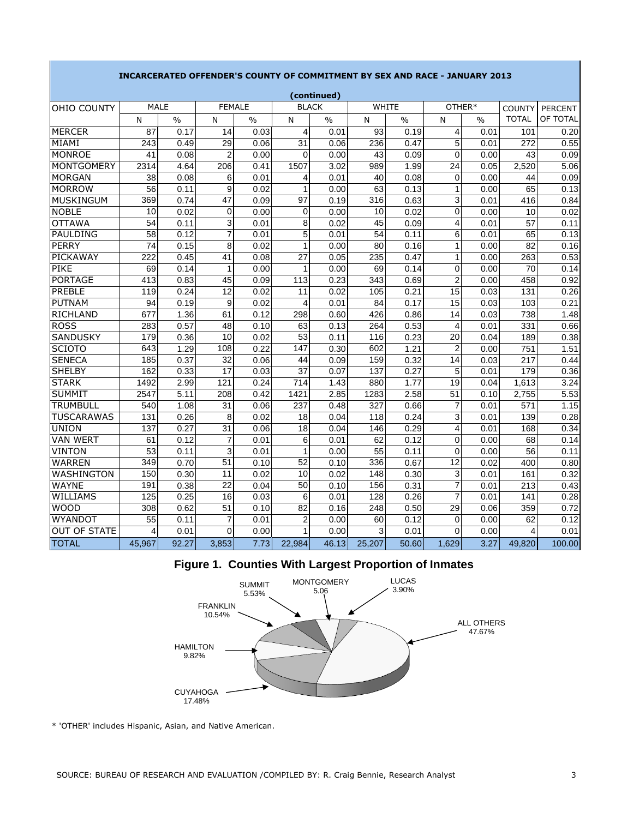|                     |                 |               |                 |               |                 | (continued)   |        |       |                |               |               |                |
|---------------------|-----------------|---------------|-----------------|---------------|-----------------|---------------|--------|-------|----------------|---------------|---------------|----------------|
| OHIO COUNTY         | <b>MALE</b>     |               | <b>FEMALE</b>   |               | <b>BLACK</b>    |               |        | WHITE |                | OTHER*        | <b>COUNTY</b> | <b>PERCENT</b> |
|                     | N               | $\frac{0}{0}$ | N               | $\frac{0}{0}$ | N               | $\frac{0}{0}$ | N      | $\%$  | N              | $\frac{0}{0}$ | <b>TOTAL</b>  | OF TOTAL       |
| <b>MERCER</b>       | 87              | 0.17          | 14              | 0.03          | $\overline{4}$  | 0.01          | 93     | 0.19  | 4              | 0.01          | 101           | 0.20           |
| MIAMI               | 243             | 0.49          | 29              | 0.06          | $\overline{31}$ | 0.06          | 236    | 0.47  | 5              | 0.01          | 272           | 0.55           |
| <b>MONROE</b>       | 41              | 0.08          | $\overline{2}$  | 0.00          | $\Omega$        | 0.00          | 43     | 0.09  | 0              | 0.00          | 43            | 0.09           |
| <b>MONTGOMERY</b>   | 2314            | 4.64          | 206             | 0.41          | 1507            | 3.02          | 989    | 1.99  | 24             | 0.05          | 2,520         | 5.06           |
| <b>MORGAN</b>       | 38              | 0.08          | 6               | 0.01          | 4               | 0.01          | 40     | 0.08  | 0              | 0.00          | 44            | 0.09           |
| <b>MORROW</b>       | 56              | 0.11          | 9               | 0.02          | 1               | 0.00          | 63     | 0.13  | 1              | 0.00          | 65            | 0.13           |
| MUSKINGUM           | 369             | 0.74          | $\overline{47}$ | 0.09          | 97              | 0.19          | 316    | 0.63  | 3              | 0.01          | 416           | 0.84           |
| <b>NOBLE</b>        | 10              | 0.02          | $\mathbf 0$     | 0.00          | 0               | 0.00          | 10     | 0.02  | 0              | 0.00          | 10            | 0.02           |
| <b>OTTAWA</b>       | 54              | 0.11          | 3               | 0.01          | 8               | 0.02          | 45     | 0.09  | 4              | 0.01          | 57            | 0.11           |
| PAULDING            | 58              | 0.12          | $\overline{7}$  | 0.01          | 5               | 0.01          | 54     | 0.11  | 6              | 0.01          | 65            | 0.13           |
| <b>PERRY</b>        | $\overline{74}$ | 0.15          | 8               | 0.02          | $\overline{1}$  | 0.00          | 80     | 0.16  | 1              | 0.00          | 82            | 0.16           |
| PICKAWAY            | 222             | 0.45          | 41              | 0.08          | 27              | 0.05          | 235    | 0.47  | 1              | 0.00          | 263           | 0.53           |
| <b>PIKE</b>         | 69              | 0.14          | 1               | 0.00          | 1               | 0.00          | 69     | 0.14  | 0              | 0.00          | 70            | 0.14           |
| <b>PORTAGE</b>      | 413             | 0.83          | 45              | 0.09          | 113             | 0.23          | 343    | 0.69  | $\overline{2}$ | 0.00          | 458           | 0.92           |
| PREBLE              | 119             | 0.24          | 12              | 0.02          | 11              | 0.02          | 105    | 0.21  | 15             | 0.03          | 131           | 0.26           |
| <b>PUTNAM</b>       | 94              | 0.19          | 9               | 0.02          | 4               | 0.01          | 84     | 0.17  | 15             | 0.03          | 103           | 0.21           |
| <b>RICHLAND</b>     | 677             | 1.36          | 61              | 0.12          | 298             | 0.60          | 426    | 0.86  | 14             | 0.03          | 738           | 1.48           |
| <b>ROSS</b>         | 283             | 0.57          | 48              | 0.10          | 63              | 0.13          | 264    | 0.53  | 4              | 0.01          | 331           | 0.66           |
| <b>SANDUSKY</b>     | 179             | 0.36          | 10              | 0.02          | 53              | 0.11          | 116    | 0.23  | 20             | 0.04          | 189           | 0.38           |
| <b>SCIOTO</b>       | 643             | 1.29          | 108             | 0.22          | 147             | 0.30          | 602    | 1.21  | $\overline{c}$ | 0.00          | 751           | 1.51           |
| <b>SENECA</b>       | 185             | 0.37          | 32              | 0.06          | 44              | 0.09          | 159    | 0.32  | 14             | 0.03          | 217           | 0.44           |
| <b>SHELBY</b>       | 162             | 0.33          | 17              | 0.03          | 37              | 0.07          | 137    | 0.27  | 5              | 0.01          | 179           | 0.36           |
| <b>STARK</b>        | 1492            | 2.99          | 121             | 0.24          | 714             | 1.43          | 880    | 1.77  | 19             | 0.04          | 1,613         | 3.24           |
| <b>SUMMIT</b>       | 2547            | 5.11          | 208             | 0.42          | 1421            | 2.85          | 1283   | 2.58  | 51             | 0.10          | 2,755         | 5.53           |
| <b>TRUMBULL</b>     | 540             | 1.08          | 31              | 0.06          | 237             | 0.48          | 327    | 0.66  | $\overline{7}$ | 0.01          | 571           | 1.15           |
| <b>TUSCARAWAS</b>   | 131             | 0.26          | 8               | 0.02          | 18              | 0.04          | 118    | 0.24  | 3              | 0.01          | 139           | 0.28           |
| <b>UNION</b>        | 137             | 0.27          | 31              | 0.06          | 18              | 0.04          | 146    | 0.29  | 4              | 0.01          | 168           | 0.34           |
| <b>VAN WERT</b>     | 61              | 0.12          | $\overline{7}$  | 0.01          | 6               | 0.01          | 62     | 0.12  | 0              | 0.00          | 68            | 0.14           |
| <b>VINTON</b>       | 53              | 0.11          | $\overline{3}$  | 0.01          | 1               | 0.00          | 55     | 0.11  | 0              | 0.00          | 56            | 0.11           |
| <b>WARREN</b>       | 349             | 0.70          | 51              | 0.10          | 52              | 0.10          | 336    | 0.67  | 12             | 0.02          | 400           | 0.80           |
| WASHINGTON          | 150             | 0.30          | 11              | 0.02          | 10              | 0.02          | 148    | 0.30  | 3              | 0.01          | 161           | 0.32           |
| <b>WAYNE</b>        | 191             | 0.38          | 22              | 0.04          | 50              | 0.10          | 156    | 0.31  | 7              | 0.01          | 213           | 0.43           |
| WILLIAMS            | 125             | 0.25          | 16              | 0.03          | 6               | 0.01          | 128    | 0.26  | $\overline{7}$ | 0.01          | 141           | 0.28           |
| <b>WOOD</b>         | 308             | 0.62          | 51              | 0.10          | 82              | 0.16          | 248    | 0.50  | 29             | 0.06          | 359           | 0.72           |
| WYANDOT             | 55              | 0.11          | $\overline{7}$  | 0.01          | $\overline{2}$  | 0.00          | 60     | 0.12  | $\Omega$       | 0.00          | 62            | 0.12           |
| <b>OUT OF STATE</b> | 4               | 0.01          | $\Omega$        | 0.00          | 1               | 0.00          | 3      | 0.01  | 0              | 0.00          | 4             | 0.01           |
| <b>TOTAL</b>        | 45,967          | 92.27         | 3,853           | 7.73          | 22,984          | 46.13         | 25,207 | 50.60 | 1,629          | 3.27          | 49,820        | 100.00         |

### **INCARCERATED OFFENDER'S COUNTY OF COMMITMENT BY SEX AND RACE - JANUARY 2013**

**Figure 1. Counties With Largest Proportion of Inmates**



\* 'OTHER' includes Hispanic, Asian, and Native American.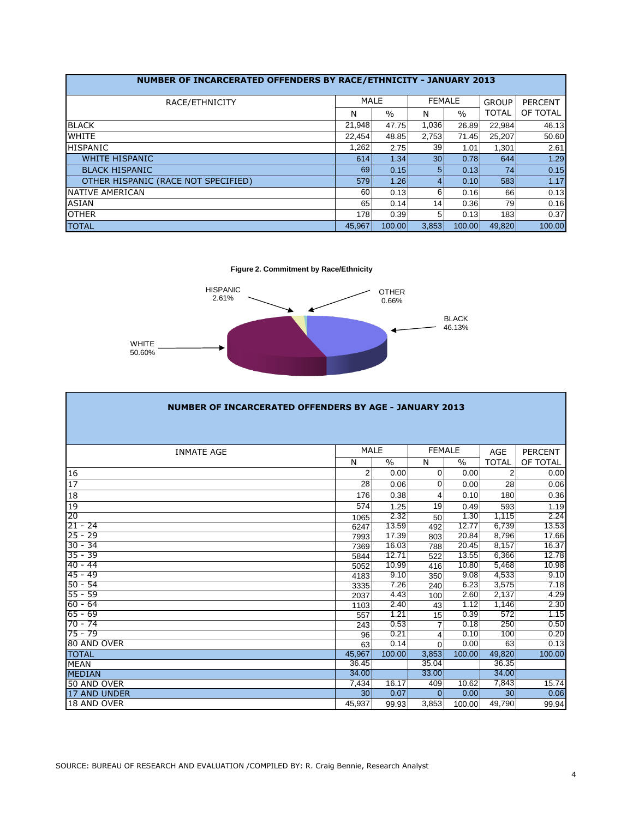| NUMBER OF INCARCERATED OFFENDERS BY RACE/ETHNICITY - JANUARY 2013 |           |               |                 |               |              |                |
|-------------------------------------------------------------------|-----------|---------------|-----------------|---------------|--------------|----------------|
| RACE/ETHNICITY                                                    | MALE      |               |                 | <b>FEMALE</b> | <b>GROUP</b> | <b>PERCENT</b> |
|                                                                   | N         | $\frac{0}{0}$ | N               | $\frac{0}{0}$ | <b>TOTAL</b> | OF TOTAL       |
| <b>BLACK</b>                                                      | 21,948    | 47.75         | 1.036           | 26.89         | 22,984       | 46.13          |
| <b>WHITE</b>                                                      | 22.454    | 48.85         | 2,753           | 71.45         | 25,207       | 50.60          |
| <b>HISPANIC</b>                                                   | 1,262     | 2.75          | 39              | 1.01          | 1.301        | 2.61           |
| <b>WHITE HISPANIC</b>                                             | 614       | 1.34          | 30 <sub>1</sub> | 0.78          | 644          | 1.29           |
| <b>BLACK HISPANIC</b>                                             | <b>69</b> | 0.15          | 5.              | 0.13          | 74           | 0.15           |
| OTHER HISPANIC (RACE NOT SPECIFIED)                               | 579       | 1.26          | 4               | 0.10          | 583          | 1.17           |
| <b>INATIVE AMERICAN</b>                                           | 60        | 0.13          | 6               | 0.16          | 66           | 0.13           |
| <b>ASIAN</b>                                                      | 65        | 0.14          | 14              | 0.36          | 79           | 0.16           |
| <b>OTHER</b>                                                      | 178       | 0.39          | 5               | 0.13          | 183          | 0.37           |
| <b>TOTAL</b>                                                      | 45.967    | 100.00        | 3.853           | 100.00        | 49.820       | 100.00         |

**Figure 2. Commitment by Race/Ethnicity**



| <b>NUMBER OF INCARCERATED OFFENDERS BY AGE - JANUARY 2013</b> |                |        |                |        |                 |                |  |  |  |  |  |  |  |
|---------------------------------------------------------------|----------------|--------|----------------|--------|-----------------|----------------|--|--|--|--|--|--|--|
|                                                               |                |        |                |        |                 |                |  |  |  |  |  |  |  |
| <b>INMATE AGE</b>                                             | <b>MALE</b>    |        | <b>FEMALE</b>  |        | AGE             | <b>PERCENT</b> |  |  |  |  |  |  |  |
|                                                               | N              | $\%$   | N              | $\%$   | <b>TOTAL</b>    | OF TOTAL       |  |  |  |  |  |  |  |
| 16                                                            | $\overline{2}$ | 0.00   | 0              | 0.00   | 2               | 0.00           |  |  |  |  |  |  |  |
| $\overline{17}$                                               | 28             | 0.06   | $\Omega$       | 0.00   | 28              | 0.06           |  |  |  |  |  |  |  |
| 18                                                            | 176            | 0.38   | 4              | 0.10   | 180             | 0.36           |  |  |  |  |  |  |  |
| 19                                                            | 574            | 1.25   | 19             | 0.49   | 593             | 1.19           |  |  |  |  |  |  |  |
| 20                                                            | 1065           | 2.32   | 50             | 1.30   | 1.115           | 2.24           |  |  |  |  |  |  |  |
| $21 - 24$                                                     | 6247           | 13.59  | 492            | 12.77  | 6,739           | 13.53          |  |  |  |  |  |  |  |
| $25 - 29$                                                     | 7993           | 17.39  | 803            | 20.84  | 8,796           | 17.66          |  |  |  |  |  |  |  |
| $30 - 34$                                                     | 7369           | 16.03  | 788            | 20.45  | 8,157           | 16.37          |  |  |  |  |  |  |  |
| $35 - 39$                                                     | 5844           | 12.71  | 522            | 13.55  | 6,366           | 12.78          |  |  |  |  |  |  |  |
| $40 - 44$                                                     | 5052           | 10.99  | 416            | 10.80  | 5,468           | 10.98          |  |  |  |  |  |  |  |
| $45 - 49$                                                     | 4183           | 9.10   | 350            | 9.08   | 4,533           | 9.10           |  |  |  |  |  |  |  |
| $50 - 54$                                                     | 3335           | 7.26   | 240            | 6.23   | 3,575           | 7.18           |  |  |  |  |  |  |  |
| $55 - 59$                                                     | 2037           | 4.43   | 100            | 2.60   | 2,137           | 4.29           |  |  |  |  |  |  |  |
| $60 - 64$                                                     | 1103           | 2.40   | 43             | 1.12   | 1,146           | 2.30           |  |  |  |  |  |  |  |
| $65 - 69$                                                     | 557            | 1.21   | 15             | 0.39   | 572             | 1.15           |  |  |  |  |  |  |  |
| $70 - 74$                                                     | 243            | 0.53   | $\overline{7}$ | 0.18   | 250             | 0.50           |  |  |  |  |  |  |  |
| $75 - 79$                                                     | 96             | 0.21   | 4              | 0.10   | 100             | 0.20           |  |  |  |  |  |  |  |
| 80 AND OVER                                                   | 63             | 0.14   | $\Omega$       | 0.00   | 63              | 0.13           |  |  |  |  |  |  |  |
| <b>TOTAL</b>                                                  | 45,967         | 100.00 | 3,853          | 100.00 | 49,820          | 100.00         |  |  |  |  |  |  |  |
| <b>MEAN</b>                                                   | 36.45          |        | 35.04          |        | 36.35           |                |  |  |  |  |  |  |  |
| <b>MEDIAN</b>                                                 | 34.00          |        | 33.00          |        | 34.00           |                |  |  |  |  |  |  |  |
| <b>50 AND OVER</b>                                            | 7,434          | 16.17  | 409            | 10.62  | 7,843           | 15.74          |  |  |  |  |  |  |  |
| 17 AND UNDER                                                  | 30             | 0.07   | $\Omega$       | 0.00   | 30 <sup>1</sup> | 0.06           |  |  |  |  |  |  |  |
| 18 AND OVER                                                   | 45,937         | 99.93  | 3,853          | 100.00 | 49,790          | 99.94          |  |  |  |  |  |  |  |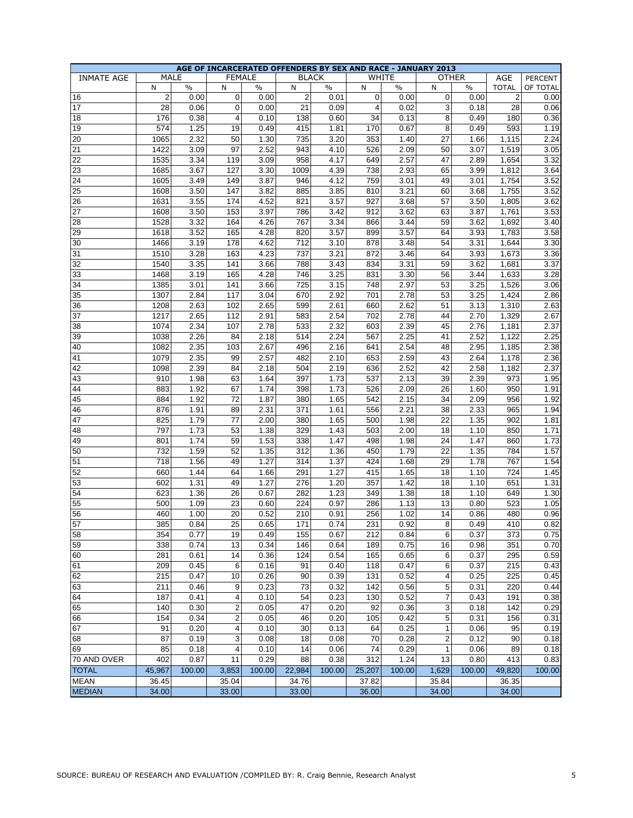|                   |                |               |                         |               |                  |               |        | AGE OF INCARCERATED OFFENDERS BY SEX AND RACE - JANUARY 2013 |                 |               |                  |                |
|-------------------|----------------|---------------|-------------------------|---------------|------------------|---------------|--------|--------------------------------------------------------------|-----------------|---------------|------------------|----------------|
| <b>INMATE AGE</b> |                | <b>MALE</b>   | <b>FEMALE</b>           |               | <b>BLACK</b>     |               |        | WHITE                                                        |                 | <b>OTHER</b>  | AGE              | <b>PERCENT</b> |
|                   | N              | $\frac{0}{0}$ | N                       | $\frac{0}{0}$ | N                | $\frac{0}{0}$ | N      | $\frac{0}{0}$                                                | $\mathsf{N}$    | $\frac{0}{0}$ | <b>TOTAL</b>     | OF TOTAL       |
| 16                | $\overline{2}$ | 0.00          | 0                       | 0.00          | $\overline{c}$   | 0.01          | 0      | 0.00                                                         | $\mathbf 0$     | 0.00          | $\overline{c}$   | 0.00           |
| 17                | 28             | 0.06          | 0                       | 0.00          | 21               | 0.09          | 4      | 0.02                                                         | 3               | 0.18          | 28               | 0.06           |
| 18                | 176            | 0.38          | 4                       | 0.10          | 138              | 0.60          | 34     | 0.13                                                         | 8               | 0.49          | 180              | 0.36           |
| 19                | 574            | 1.25          | 19                      | 0.49          | 415              | 1.81          | 170    | 0.67                                                         | 8               | 0.49          | 593              | 1.19           |
| 20                | 1065           | 2.32          | 50                      | 1.30          | 735              | 3.20          | 353    | 1.40                                                         | 27              | 1.66          | 1,115            | 2.24           |
| 21                | 1422           | 3.09          | 97                      | 2.52          | 943              | 4.10          | 526    | 2.09                                                         | 50              | 3.07          | 1,519            | 3.05           |
| 22                | 1535           | 3.34          | 119                     | 3.09          | 958              | 4.17          | 649    | 2.57                                                         | 47              | 2.89          | 1,654            | 3.32           |
| 23                | 1685           | 3.67          | 127                     | 3.30          | 1009             | 4.39          | 738    | 2.93                                                         | 65              | 3.99          | 1,812            | 3.64           |
| 24                | 1605           | 3.49          | 149                     | 3.87          | 946              | 4.12          | 759    | 3.01                                                         | 49              | 3.01          | 1,754            | 3.52           |
| 25                | 1608           | 3.50          | 147                     | 3.82          | 885              | 3.85          | 810    | 3.21                                                         | 60              | 3.68          | 1,755            | 3.52           |
| 26                | 1631           | 3.55          | 174                     | 4.52          | 821              | 3.57          | 927    | 3.68                                                         | 57              | 3.50          | 1,805            | 3.62           |
| 27                | 1608           | 3.50          | 153                     | 3.97          | 786              | 3.42          | 912    | 3.62                                                         | 63              | 3.87          | 1,761            | 3.53           |
| 28                | 1528           | 3.32          | 164                     | 4.26          | 767              | 3.34          | 866    | 3.44                                                         | 59              | 3.62          | 1,692            | 3.40           |
| 29                | 1618           | 3.52          | 165                     | 4.28          | 820              | 3.57          | 899    | 3.57                                                         | 64              | 3.93          | 1,783            | 3.58           |
| 30                | 1466           | 3.19          | 178                     | 4.62          | 712              | 3.10          | 878    | 3.48                                                         | 54              | 3.31          | 1,644            | 3.30           |
| 31                | 1510           | 3.28          | 163                     | 4.23          | 737              | 3.21          | 872    | 3.46                                                         | 64              | 3.93          | 1,673            | 3.36           |
|                   |                |               |                         |               |                  |               |        |                                                              |                 |               |                  |                |
| 32                | 1540           | 3.35          | 141                     | 3.66          | 788              | 3.43          | 834    | 3.31                                                         | 59              | 3.62          | 1,681            | 3.37           |
| 33                | 1468           | 3.19          | 165                     | 4.28          | 746              | 3.25          | 831    | 3.30                                                         | 56              | 3.44          | 1,633            | 3.28           |
| 34                | 1385           | 3.01          | 141                     | 3.66          | 725              | 3.15          | 748    | 2.97                                                         | 53              | 3.25          | 1,526            | 3.06           |
| 35                | 1307           | 2.84          | 117                     | 3.04          | 670              | 2.92          | 701    | 2.78                                                         | 53              | 3.25          | 1,424            | 2.86           |
| 36                | 1208           | 2.63          | 102                     | 2.65          | 599              | 2.61          | 660    | 2.62                                                         | 51              | 3.13          | 1,310            | 2.63           |
| 37                | 1217           | 2.65          | 112                     | 2.91          | 583              | 2.54          | 702    | 2.78                                                         | 44              | 2.70          | 1,329            | 2.67           |
| 38                | 1074           | 2.34          | 107                     | 2.78          | 533              | 2.32          | 603    | 2.39                                                         | 45              | 2.76          | 1,181            | 2.37           |
| 39                | 1038           | 2.26          | 84                      | 2.18          | 514              | 2.24          | 567    | 2.25                                                         | 41              | 2.52          | 1,122            | 2.25           |
| 40                | 1082           | 2.35          | 103                     | 2.67          | 496              | 2.16          | 641    | 2.54                                                         | 48              | 2.95          | 1,185            | 2.38           |
| 41                | 1079           | 2.35          | 99                      | 2.57          | 482              | 2.10          | 653    | 2.59                                                         | 43              | 2.64          | 1,178            | 2.36           |
| 42                | 1098           | 2.39          | 84                      | 2.18          | 504              | 2.19          | 636    | 2.52                                                         | 42              | 2.58          | 1,182            | 2.37           |
| 43                | 910            | 1.98          | 63                      | 1.64          | 397              | 1.73          | 537    | 2.13                                                         | 39              | 2.39          | 973              | 1.95           |
| 44                | 883            | 1.92          | 67                      | 1.74          | 398              | 1.73          | 526    | 2.09                                                         | 26              | 1.60          | 950              | 1.91           |
| 45                | 884            | 1.92          | 72                      | 1.87          | 380              | 1.65          | 542    | 2.15                                                         | 34              | 2.09          | 956              | 1.92           |
| 46                | 876            | 1.91          | 89                      | 2.31          | 371              | 1.61          | 556    | 2.21                                                         | 38              | 2.33          | 965              | 1.94           |
| 47                | 825            | 1.79          | 77                      | 2.00          | 380              | 1.65          | 500    | 1.98                                                         | 22              | 1.35          | 902              | 1.81           |
| 48                | 797            | 1.73          | 53                      | 1.38          | 329              | 1.43          | 503    | 2.00                                                         | 18              | 1.10          | 850              | 1.71           |
| 49                | 801            | 1.74          | 59                      | 1.53          | 338              | 1.47          | 498    | 1.98                                                         | 24              | 1.47          | 860              | 1.73           |
| 50                | 732            | 1.59          | 52                      | 1.35          | $\overline{312}$ | 1.36          | 450    | 1.79                                                         | $\overline{22}$ | 1.35          | 784              | $1.57$         |
| 51                | 718            | 1.56          | 49                      | 1.27          | 314              | 1.37          | 424    | 1.68                                                         | 29              | 1.78          | 767              | 1.54           |
| $\overline{52}$   | 660            | 1.44          | 64                      | 1.66          | 291              | 1.27          | 415    | 1.65                                                         | 18              | 1.10          | 724              | 1.45           |
| 53                | 602            | 1.31          | 49                      | 1.27          | 276              | 1.20          | 357    | 1.42                                                         | 18              | 1.10          | 651              | 1.31           |
| $\overline{54}$   | 623            | 1.36          | 26                      | 0.67          | 282              | 1.23          | 349    | 1.38                                                         | 18              | 1.10          | 649              | 1.30           |
| $\overline{55}$   | 500            | 1.09          | 23                      | 0.60          | 224              | 0.97          | 286    | 1.13                                                         | 13              | 0.80          | 523              | 1.05           |
| 56                | 460            | 1.00          | 20                      | 0.52          | 210              | 0.91          | 256    | 1.02                                                         | 14              | 0.86          | 480              | 0.96           |
| $\overline{57}$   | 385            | 0.84          | 25                      | 0.65          | 171              | 0.74          | 231    | 0.92                                                         | 8               | 0.49          | 410              | 0.82           |
| 58                | 354            | 0.77          | 19                      | 0.49          | 155              | 0.67          | 212    | 0.84                                                         | 6               | 0.37          | $\overline{373}$ | 0.75           |
| 59                | 338            | 0.74          | 13                      | 0.34          | 146              | 0.64          | 189    | 0.75                                                         | 16              | 0.98          | 351              | 0.70           |
| 60                | 281            | 0.61          | 14                      | 0.36          | 124              | 0.54          | 165    | 0.65                                                         | 6               | 0.37          | 295              | 0.59           |
| $\overline{61}$   | 209            | 0.45          | 6                       | 0.16          | 91               | 0.40          | 118    | 0.47                                                         | 6               | 0.37          | 215              | 0.43           |
| 62                | 215            | 0.47          | 10                      | 0.26          | 90               | 0.39          | 131    | 0.52                                                         | 4               | 0.25          | 225              | 0.45           |
| 63                | 211            | 0.46          | 9                       | 0.23          | 73               | 0.32          | 142    | 0.56                                                         | 5               | 0.31          | 220              | 0.44           |
| 64                | 187            | 0.41          | 4                       | 0.10          | 54               | 0.23          | 130    | 0.52                                                         | $\overline{7}$  | 0.43          | 191              | 0.38           |
| 65                | 140            | 0.30          | $\overline{\mathbf{c}}$ | 0.05          | 47               | 0.20          | 92     | 0.36                                                         | 3               | 0.18          | 142              | 0.29           |
| 66                | 154            | 0.34          | $\overline{c}$          | 0.05          | 46               | 0.20          | 105    | 0.42                                                         | 5               | 0.31          | 156              | 0.31           |
| 67                | 91             | 0.20          | 4                       | 0.10          | 30               | 0.13          | 64     | 0.25                                                         | 1               | 0.06          | 95               | 0.19           |
|                   |                |               |                         |               | 18               |               |        |                                                              |                 |               | 90               |                |
| 68<br>69          | 87             | 0.19          | 3                       | 0.08          | 14               | 0.08          | 70     | 0.28                                                         | $\overline{c}$  | 0.12          |                  | 0.18           |
|                   | 85             | 0.18          | 4                       | 0.10          |                  | 0.06          | 74     | 0.29                                                         | $\mathbf{1}$    | 0.06          | 89               | 0.18           |
| 70 AND OVER       | 402            | 0.87          | 11                      | 0.29          | 88               | 0.38          | 312    | 1.24                                                         | 13              | 0.80          | 413              | 0.83           |
| <b>TOTAL</b>      | 45,967         | 100.00        | 3,853                   | 100.00        | 22,984           | 100.00        | 25,207 | 100.00                                                       | 1,629           | 100.00        | 49,820           | 100.00         |
| <b>MEAN</b>       | 36.45          |               | 35.04                   |               | 34.76            |               | 37.82  |                                                              | 35.84           |               | 36.35            |                |
| <b>MEDIAN</b>     | 34.00          |               | 33.00                   |               | 33.00            |               | 36.00  |                                                              | 34.00           |               | 34.00            |                |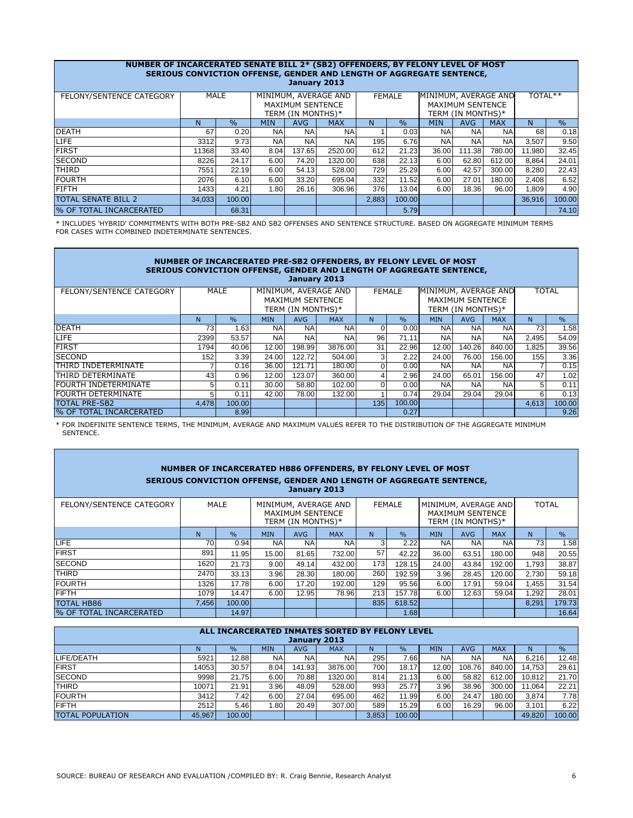| NUMBER OF INCARCERATED SENATE BILL 2* (SB2) OFFENDERS, BY FELONY LEVEL OF MOST<br>SERIOUS CONVICTION OFFENSE, GENDER AND LENGTH OF AGGREGATE SENTENCE,<br>January 2013 |        |             |            |                                       |                      |       |               |                      |                                       |            |        |               |  |
|------------------------------------------------------------------------------------------------------------------------------------------------------------------------|--------|-------------|------------|---------------------------------------|----------------------|-------|---------------|----------------------|---------------------------------------|------------|--------|---------------|--|
| FELONY/SENTENCE CATEGORY                                                                                                                                               |        | <b>MALE</b> |            | MAXIMUM SENTENCE<br>TERM (IN MONTHS)* | MINIMUM, AVERAGE AND |       | <b>FEMALE</b> | MINIMUM, AVERAGE AND | MAXIMUM SENTENCE<br>TERM (IN MONTHS)* | TOTAL**    |        |               |  |
|                                                                                                                                                                        | N      | $\%$        | <b>MIN</b> | AVG                                   | <b>MAX</b>           | N     | $\%$          | <b>MIN</b>           | <b>AVG</b>                            | <b>MAX</b> | N      | $\frac{0}{0}$ |  |
| <b>IDEATH</b>                                                                                                                                                          | 67     | 0.20        | <b>NA</b>  | <b>NA</b>                             | <b>NA</b>            |       | 0.03          | <b>NA</b>            | <b>NA</b>                             | <b>NA</b>  | 68     | 0.18          |  |
| LIFE                                                                                                                                                                   | 3312   | 9.73        | <b>NA</b>  | <b>NA</b>                             | <b>NA</b>            | 195   | 6.76          | <b>NA</b>            | <b>NA</b>                             | <b>NA</b>  | 3,507  | 9.50          |  |
| <b>FIRST</b>                                                                                                                                                           | 11368  | 33.40       | 8.04       | 137.65                                | 2520.00              | 612   | 21.23         | 36.00                | 111.38                                | 780.00     | 11,980 | 32.45         |  |
| <b>SECOND</b>                                                                                                                                                          | 8226   | 24.17       | 6.00       | 74.20                                 | 1320.00              | 638   | 22.13         | 6.00                 | 62.80                                 | 612.00     | 8,864  | 24.01         |  |
| <b>THIRD</b>                                                                                                                                                           | 7551   | 22.19       | 6.00       | 54.13                                 | 528.00               | 729   | 25.29         | 6.00                 | 42.57                                 | 300.00     | 8,280  | 22.43         |  |
| <b>FOURTH</b>                                                                                                                                                          | 2076   | 6.10        | 6.00       | 33.20                                 | 695.04               | 332   | 11.52         | 6.00                 | 27.01                                 | 180.00     | 2,408  | 6.52          |  |
| <b>FIFTH</b>                                                                                                                                                           | 1433   | 4.21        | 1.80       | 26.16                                 | 306.96               | 376   | 13.04         | 6.00                 | 18.36                                 | 96.00      | 1,809  | 4.90          |  |
| <b>TOTAL SENATE BILL 2</b>                                                                                                                                             | 34,033 | 100.00      |            |                                       |                      | 2,883 | 100.00        |                      |                                       |            | 36,916 | 100.00        |  |
| % OF TOTAL INCARCERATED                                                                                                                                                |        | 68.31       |            |                                       |                      |       | 5.79          |                      |                                       |            |        | 74.10         |  |

\* INCLUDES 'HYBRID' COMMITMENTS WITH BOTH PRE-SB2 AND SB2 OFFENSES AND SENTENCE STRUCTURE. BASED ON AGGREGATE MINIMUM TERMS FOR CASES WITH COMBINED INDETERMINATE SENTENCES.

|                                |                                                                                                                                                                |               |            | January 2013 | NUMBER OF INCARCERATED PRE-SB2 OFFENDERS, BY FELONY LEVEL OF MOST<br>SERIOUS CONVICTION OFFENSE, GENDER AND LENGTH OF AGGREGATE SENTENCE, |     |               |            |            |            |              |               |
|--------------------------------|----------------------------------------------------------------------------------------------------------------------------------------------------------------|---------------|------------|--------------|-------------------------------------------------------------------------------------------------------------------------------------------|-----|---------------|------------|------------|------------|--------------|---------------|
| FELONY/SENTENCE CATEGORY       | MINIMUM, AVERAGE AND<br>MALE<br>MINIMUM, AVERAGE AND<br><b>FEMALE</b><br>MAXIMUM SENTENCE<br><b>MAXIMUM SENTENCE</b><br>TERM (IN MONTHS)*<br>TERM (IN MONTHS)* |               |            |              |                                                                                                                                           |     |               |            |            |            | <b>TOTAL</b> |               |
|                                | N.                                                                                                                                                             | $\frac{0}{0}$ | <b>MIN</b> | <b>AVG</b>   | <b>MAX</b>                                                                                                                                | N   | $\frac{0}{0}$ | <b>MIN</b> | <b>AVG</b> | <b>MAX</b> | N.           | $\frac{0}{0}$ |
| DEATH                          | 73                                                                                                                                                             | 1.63          | <b>NA</b>  | <b>NA</b>    | <b>NA</b>                                                                                                                                 | 0   | 0.00          | <b>NA</b>  | <b>NA</b>  | <b>NA</b>  | 73           | 1.58          |
| LIFE                           | 2399                                                                                                                                                           | 53.57         | <b>NA</b>  | <b>NA</b>    | <b>NA</b>                                                                                                                                 | 96  | 71.11         | <b>NA</b>  | <b>NA</b>  | <b>NAI</b> | 2,495        | 54.09         |
| FIRST                          | 1794                                                                                                                                                           | 40.06         | 12.00      | 198.99       | 3876.00                                                                                                                                   | 31  | 22.96         | 12.00      | 140.26     | 840.00     | 1,825        | 39.56         |
| <b>SECOND</b>                  | 152                                                                                                                                                            | 3.39          | 24.00      | 122.72       | 504.00                                                                                                                                    | 3   | 2.22          | 24.00      | 76.00      | 156.00     | 155          | 3.36          |
| <b>THIRD INDETERMINATE</b>     |                                                                                                                                                                | 0.16          | 36.00      | 121.71       | 180.00                                                                                                                                    | 0   | 0.00          | <b>NA</b>  | <b>NA</b>  | <b>NAI</b> |              | 0.15          |
| <b>THIRD DETERMINATE</b>       | 43                                                                                                                                                             | 0.96          | 12.00      | 123.07       | 360.00                                                                                                                                    | 4   | 2.96          | 24.00      | 65.01      | 156.00     | 47           | 1.02          |
| lfourth Indeterminate          | 5                                                                                                                                                              | 0.11          | 30.00      | 58.80        | 102.00                                                                                                                                    |     | 0.00          | NA.        | <b>NA</b>  | <b>NA</b>  | 5            | 0.11          |
| <b>FOURTH DETERMINATE</b>      |                                                                                                                                                                | 0.11          | 42.00      | 78.00        | 132.00                                                                                                                                    |     | 0.74          | 29.04      | 29.04      | 29.04      | 6            | 0.13          |
| <b>TOTAL PRE-SB2</b>           | 4.478                                                                                                                                                          | 100.00        |            |              |                                                                                                                                           | 135 | 100.00        |            |            |            | 4,613        | 100.00        |
| <b>W OF TOTAL INCARCERATED</b> |                                                                                                                                                                | 8.99          |            |              |                                                                                                                                           |     | 0.27          |            |            |            |              | 9.26          |

\* FOR INDEFINITE SENTENCE TERMS, THE MINIMUM, AVERAGE AND MAXIMUM VALUES REFER TO THE DISTRIBUTION OF THE AGGREGATE MINIMUM SENTENCE.

## **NUMBER OF INCARCERATED HB86 OFFENDERS, BY FELONY LEVEL OF MOST SERIOUS CONVICTION OFFENSE, GENDER AND LENGTH OF AGGREGATE SENTENCE, January 2013**

| FELONY/SENTENCE CATEGORY       |       | <b>MALE</b>   | MINIMUM, AVERAGE AND<br><b>MAXIMUM SENTENCE</b><br>TERM (IN MONTHS)* |       |            |     | <b>FEMALE</b> | MINIMUM, AVERAGE AND <br><b>MAXIMUM SENTENCE</b><br>TERM (IN MONTHS)* |            |            | <b>TOTAL</b> |               |  |
|--------------------------------|-------|---------------|----------------------------------------------------------------------|-------|------------|-----|---------------|-----------------------------------------------------------------------|------------|------------|--------------|---------------|--|
|                                | N.    | $\frac{0}{0}$ | <b>MIN</b>                                                           | AVG   | <b>MAX</b> | N   | $\frac{0}{0}$ | <b>MIN</b>                                                            | <b>AVG</b> | <b>MAX</b> | N.           | $\frac{0}{0}$ |  |
| <b>ILIFE</b>                   | 70    | 0.94          | <b>NA</b>                                                            | NA.   | <b>NAI</b> |     | 2.22          | NA.                                                                   | <b>NA</b>  | <b>NA</b>  | 731          | 1.58          |  |
| <b>FIRST</b>                   | 891   | 11.95         | 15.00                                                                | 81.65 | 732.00     | 57  | 42.22         | 36.00                                                                 | 63.51      | 180.00     | 948          | 20.55         |  |
| <b>SECOND</b>                  | 1620  | 21.73         | 9.00                                                                 | 49.14 | 432.00     | 173 | 128.15        | 24.00                                                                 | 43.84      | 192.00     | 1.793        | 38.87         |  |
| <b>THIRD</b>                   | 2470  | 33.13         | 3.96                                                                 | 28.30 | 180.00     | 260 | 192.59        | 3.96                                                                  | 28.45      | 120.00     | 2.730        | 59.18         |  |
| <b>IFOURTH</b>                 | 1326  | 17.78         | 6.00                                                                 | 17.20 | 192.00     | 129 | 95.56         | 6.00                                                                  | 17.91      | 59.04      | 1.455        | 31.54         |  |
| <b>IFIFTH</b>                  | 1079  | 14.47         | 6.00                                                                 | 12.95 | 78.96      | 213 | 157.78        | 6.00                                                                  | 12.63      | 59.04      | .292         | 28.01         |  |
| <b>TOTAL HB86</b>              | 7.456 | 100.00        |                                                                      |       |            | 835 | 618.52        |                                                                       |            |            | 8.291        | 179.73        |  |
| <b>W OF TOTAL INCARCERATED</b> |       | 14.97         |                                                                      |       |            |     | 1.68          |                                                                       |            |            |              | 16.64         |  |

| ALL INCARCERATED INMATES SORTED BY FELONY LEVEL |        |               |            |        |            |       |               |            |            |            |        |        |
|-------------------------------------------------|--------|---------------|------------|--------|------------|-------|---------------|------------|------------|------------|--------|--------|
| January 2013                                    |        |               |            |        |            |       |               |            |            |            |        |        |
|                                                 |        | $\frac{0}{6}$ | <b>MIN</b> | AVG.   | <b>MAX</b> | N     | $\frac{0}{0}$ | <b>MIN</b> | <b>AVG</b> | <b>MAX</b> | N.     | $\%$   |
| LIFE/DEATH                                      | 5921   | 12.88         | NA         | NA     | <b>NA</b>  | 295   | 7.66          | <b>NA</b>  | <b>NA</b>  | <b>NA</b>  | 6.216  | 12.48  |
| <b>IFIRST</b>                                   | 14053  | 30.57         | 8.04       | 141.93 | 3876.00    | 700   | 18.17         | 12.00      | 108.76     | 840.00     | 14.753 | 29.61  |
| <b>SECOND</b>                                   | 9998   | 21.75         | 6.00       | 70.88  | 1320.00    | 814   | 21.13         | 6.00       | 58.82      | 612.00     | 10,812 | 21.70  |
| <b>I</b> THIRD                                  | 10071  | 21.91         | 3.96       | 48.09  | 528.00     | 993   | 25.77         | 3.96       | 38.96      | 300.00     | 11.064 | 22.21  |
| <b>IFOURTH</b>                                  | 3412   | 7.42          | 6.00       | 27.04  | 695.00     | 462   | 11.99         | 6.00       | 24.47      | 180.00     | 3,874  | 7.78   |
| <b>IFIFTH</b>                                   | 2512   | 5.46          | 1.80       | 20.49  | 307.00     | 589   | 15.29         | 6.00       | 16.29      | 96.00      | 3.101  | 6.22   |
| <b>TOTAL POPULATION</b>                         | 45,967 | 100.00        |            |        |            | 3,853 | 100.00        |            |            |            | 49,820 | 100.00 |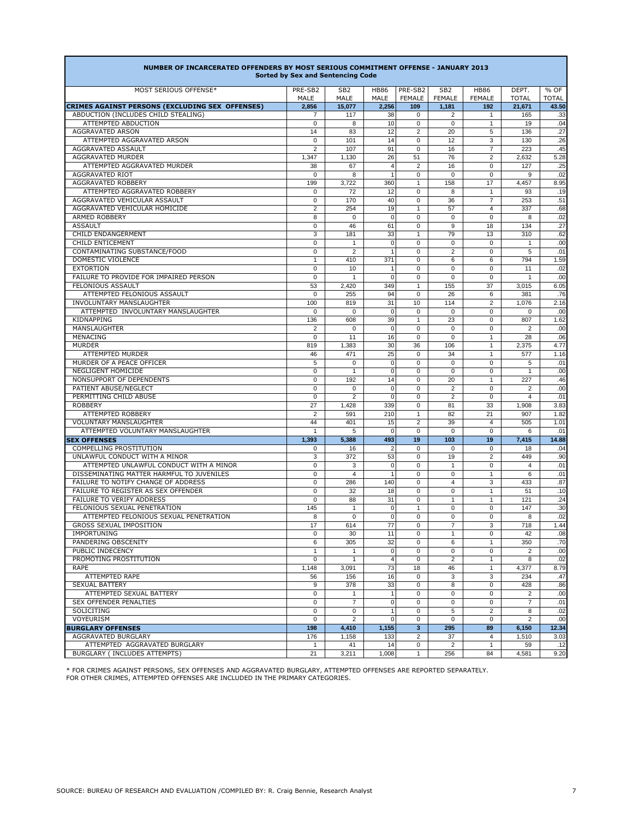| NUMBER OF INCARCERATED OFFENDERS BY MOST SERIOUS COMMITMENT OFFENSE - JANUARY 2013 | <b>Sorted by Sex and Sentencing Code</b> |                                |                      |                          |                                  |                              |                       |                                    |
|------------------------------------------------------------------------------------|------------------------------------------|--------------------------------|----------------------|--------------------------|----------------------------------|------------------------------|-----------------------|------------------------------------|
| MOST SERIOUS OFFENSE*                                                              | PRE-SB2<br>MALE                          | SB <sub>2</sub><br><b>MALE</b> | <b>HB86</b><br>MALE  | PRE-SB2<br><b>FEMALE</b> | SB <sub>2</sub><br><b>FEMALE</b> | <b>HB86</b><br><b>FEMALE</b> | DEPT.<br><b>TOTAL</b> | $\overline{\%}$ OF<br><b>TOTAL</b> |
| <b>CRIMES AGAINST PERSONS (EXCLUDING SEX OFFENSES)</b>                             | 2,856                                    | 15,077                         | 2,256                | 109                      | 1,181                            | 192                          | 21,671                | 43.50                              |
| ABDUCTION (INCLUDES CHILD STEALING)                                                | $\overline{7}$                           | 117                            | 38                   | $\Omega$                 | $\overline{2}$                   | $\mathbf{1}$                 | 165                   | .33                                |
| ATTEMPTED ABDUCTION                                                                | 0                                        | 8                              | 10                   | $\mathbf 0$              | $\Omega$                         | $\mathbf{1}$                 | 19                    | .04                                |
| <b>AGGRAVATED ARSON</b>                                                            | 14                                       | 83                             | 12                   | 2                        | 20                               | 5                            | 136                   | .27                                |
| ATTEMPTED AGGRAVATED ARSON                                                         | $\mathbf 0$                              | 101                            | 14                   | $\Omega$                 | 12                               | 3                            | 130                   | .26                                |
| AGGRAVATED ASSAULT                                                                 | 2                                        | 107                            | 91                   | $\Omega$                 | 16                               | $\overline{7}$               | 223                   | .45                                |
| AGGRAVATED MURDER                                                                  | 1,347                                    | 1,130                          | 26<br>$\overline{4}$ | 51<br>2                  | 76                               | 2                            | 2,632                 | 5.28                               |
| ATTEMPTED AGGRAVATED MURDER<br>AGGRAVATED RIOT                                     | 38<br>0                                  | 67<br>8                        | $\mathbf{1}$         | $\Omega$                 | 16<br>$\Omega$                   | $\mathbf 0$<br>$\Omega$      | 127<br>9              | .25<br>.02                         |
| AGGRAVATED ROBBERY                                                                 | 199                                      | 3,722                          | 360                  | $\mathbf{1}$             | 158                              | 17                           | 4,457                 | 8.95                               |
| ATTEMPTED AGGRAVATED ROBBERY                                                       | 0                                        | 72                             | 12                   | $\Omega$                 | 8                                | $\mathbf{1}$                 | 93                    | .19                                |
| AGGRAVATED VEHICULAR ASSAULT                                                       | $\mathbf 0$                              | 170                            | 40                   | $\Omega$                 | 36                               | $\overline{7}$               | 253                   | .51                                |
| AGGRAVATED VEHICULAR HOMICIDE                                                      | $\overline{2}$                           | 254                            | 19                   | $\mathbf{1}$             | 57                               | 4                            | 337                   | .68                                |
| ARMED ROBBERY                                                                      | 8                                        | $\mathbf 0$                    | $\Omega$             | $\Omega$                 | 0                                | $\mathbf 0$                  | 8                     | .02                                |
| <b>ASSAULT</b>                                                                     | $\mathbf 0$                              | 46                             | 61                   | $\Omega$                 | 9                                | 18                           | 134                   | .27                                |
| CHILD ENDANGERMENT                                                                 | 3                                        | 181                            | 33                   | $\mathbf{1}$             | 79                               | 13                           | 310                   | .62                                |
| <b>CHILD ENTICEMENT</b>                                                            | 0                                        | $\mathbf{1}$                   | $\Omega$             | $\Omega$                 | $\Omega$                         | $\mathbf 0$                  | $\mathbf{1}$          | .00 <sub>1</sub>                   |
| CONTAMINATING SUBSTANCE/FOOD                                                       | 0                                        | 2                              |                      | $\Omega$                 | $\overline{2}$                   | $\mathbf 0$                  | 5                     | .01                                |
| <b>DOMESTIC VIOLENCE</b>                                                           | $\mathbf{1}$                             | 410                            | 371                  | $\Omega$                 | 6                                | 6                            | 794                   | 1.59                               |
| <b>EXTORTION</b>                                                                   | $\Omega$                                 | 10                             | $\mathbf{1}$         | $\Omega$                 | $\Omega$                         | $\Omega$                     | 11                    | .02                                |
| FAILURE TO PROVIDE FOR IMPAIRED PERSON                                             | $\mathbf 0$                              | $\mathbf{1}$                   | $\Omega$             | $\Omega$                 | $\Omega$                         | $\Omega$                     | $\mathbf{1}$          | .00 <sub>1</sub>                   |
| FELONIOUS ASSAULT                                                                  | 53                                       | 2,420                          | 349                  | $\mathbf{1}$             | 155                              | 37                           | 3,015                 | 6.05                               |
| ATTEMPTED FELONIOUS ASSAULT                                                        | $\mathbf 0$                              | 255                            | 94                   | $\Omega$                 | 26                               | 6                            | 381                   | .76                                |
| <b>INVOLUNTARY MANSLAUGHTER</b>                                                    | 100                                      | 819                            | 31                   | 10                       | 114                              | 2                            | 1,076                 | 2.16                               |
| ATTEMPTED INVOLUNTARY MANSLAUGHTER                                                 | $\mathbf 0$                              | $\mathbf 0$                    | $\overline{0}$       | $\Omega$                 | 0                                | $\mathbf 0$                  | 0                     | .00 <sub>1</sub>                   |
| KIDNAPPING                                                                         | 136                                      | 608                            | 39                   | $\mathbf{1}$             | 23                               | $\Omega$                     | 807                   | 1.62                               |
| MANSLAUGHTER                                                                       | 2                                        | $\mathbf 0$                    | $\Omega$             | $\Omega$                 | $\Omega$                         | $\mathbf 0$                  | $\overline{2}$        | .00 <sub>l</sub>                   |
| MENACING                                                                           | $\mathbf 0$                              | 11                             | 16                   | $\Omega$                 | $\Omega$                         | $\mathbf{1}$                 | 28                    | .06                                |
| <b>MURDER</b>                                                                      | 819                                      | 1,383                          | 30 <sup>1</sup>      | 36                       | 106                              | $\mathbf{1}$                 | 2,375                 | 4.77                               |
| ATTEMPTED MURDER                                                                   | 46                                       | 471                            | 25                   | $\Omega$                 | 34                               | $\mathbf{1}$                 | 577                   | 1.16                               |
| MURDER OF A PEACE OFFICER                                                          | 5                                        | $\mathbf 0$                    | $\overline{0}$       | $\Omega$                 | $\mathbf 0$                      | $\mathbf 0$                  | 5                     | .01                                |
| <b>NEGLIGENT HOMICIDE</b>                                                          | 0                                        | $\mathbf{1}$                   | $\Omega$             | $\Omega$                 | $\Omega$                         | $\mathbf 0$                  | $\mathbf{1}$          | .00 <sub>1</sub>                   |
| NONSUPPORT OF DEPENDENTS                                                           | 0                                        | 192                            | 14                   | $\Omega$                 | 20                               | $\mathbf{1}$                 | 227                   | .46                                |
| PATIENT ABUSE/NEGLECT                                                              | 0                                        | $\mathbf 0$                    | $\Omega$             | $\Omega$                 | $\overline{2}$                   | $\Omega$                     | $\overline{2}$        | .00 <sub>l</sub>                   |
| PERMITTING CHILD ABUSE                                                             | $\Omega$                                 | 2                              | $\Omega$             | $\Omega$                 | $\overline{2}$                   | $\Omega$                     | 4                     | .01                                |
| <b>ROBBERY</b>                                                                     | 27                                       | 1,428                          | 339                  | $\Omega$                 | 81                               | 33                           | 1.908                 | 3.83                               |
| ATTEMPTED ROBBERY                                                                  | 2                                        | 591                            | 210                  | $\mathbf{1}$             | 82                               | 21                           | 907                   | 1.82                               |
| <b>VOLUNTARY MANSLAUGHTER</b>                                                      | 44                                       | 401                            | 15                   | 2                        | 39                               | 4                            | 505                   | 1.01                               |
| ATTEMPTED VOLUNTARY MANSLAUGHTER                                                   | $\mathbf{1}$                             | 5                              | $\overline{0}$       | $\Omega$                 | $\Omega$                         | $\Omega$                     | 6                     | .01                                |
| <b>SEX OFFENSES</b><br><b>COMPELLING PROSTITUTION</b>                              | 1,393                                    | 5,388                          | 493                  | 19<br>$\Omega$           | 103<br>$\Omega$                  | 19                           | 7,415                 | 14.88                              |
| UNLAWFUL CONDUCT WITH A MINOR                                                      | 0<br>3                                   | 16<br>372                      | 2<br>53              | $\Omega$                 | 19                               | $\mathbf 0$<br>2             | 18                    | .04                                |
| ATTEMPTED UNLAWFUL CONDUCT WITH A MINOR                                            | 0                                        | 3                              | 0                    | $\Omega$                 | $\mathbf{1}$                     | $\Omega$                     | 449<br>4              | .90 <sub>1</sub><br>.01            |
| DISSEMINATING MATTER HARMFUL TO JUVENILES                                          | 0                                        | $\overline{4}$                 |                      | $\Omega$                 | 0                                | 1                            | 6                     | .01                                |
| FAILURE TO NOTIFY CHANGE OF ADDRESS                                                | $\Omega$                                 | 286                            | 140l                 | $\Omega$                 | $\overline{4}$                   | 3                            | 433                   | .87                                |
| FAILURE TO REGISTER AS SEX OFFENDER                                                | 0                                        | 32                             | 18                   | $\Omega$                 | $\Omega$                         | $\mathbf{1}$                 | 51                    | .10                                |
| <b>FAILURE TO VERIFY ADDRESS</b>                                                   | 0                                        | 88                             | 31                   | $\Omega$                 | $\mathbf{1}$                     | $\mathbf{1}$                 | 121                   | .24                                |
| FELONIOUS SEXUAL PENETRATION                                                       | 145                                      | $\mathbf{1}$                   | $\Omega$             | $\mathbf{1}$             | $\Omega$                         | $\Omega$                     | 147                   | .30 <sub>1</sub>                   |
| ATTEMPTED FELONIOUS SEXUAL PENETRATION                                             | 8                                        | 0                              | $\Omega$             | $\Omega$                 | 0                                | $\mathbf 0$                  | 8                     | .02                                |
| <b>GROSS SEXUAL IMPOSITION</b>                                                     | 17                                       | 614                            | 77                   | $\Omega$                 | $\overline{7}$                   | 3                            | 718                   | 1.44                               |
| <b>IMPORTUNING</b>                                                                 | 0                                        | 30                             | 11                   | $\Omega$                 | 1                                | 0                            | 42                    | .08 <sub>1</sub>                   |
| PANDERING OBSCENITY                                                                | 6                                        | 305                            | 32                   | $\Omega$                 | 6                                | 1                            | 350                   | .70                                |
| PUBLIC INDECENCY                                                                   | 1                                        | $\mathbf{1}$                   | $\overline{0}$       | $\Omega$                 | $\Omega$                         | $\mathbf 0$                  | $\overline{2}$        | .00 <sub>1</sub>                   |
| PROMOTING PROSTITUTION                                                             | $\Omega$                                 | $\mathbf{1}$                   | 4                    | $\Omega$                 | $\overline{2}$                   | $\mathbf{1}$                 | 8                     | .02                                |
| <b>RAPE</b>                                                                        | 1,148                                    | 3,091                          | 73                   | 18                       | 46                               | $\mathbf{1}$                 | 4,377                 | 8.79                               |
| ATTEMPTED RAPE                                                                     | 56                                       | 156                            | 16                   | $\Omega$                 | 3                                | 3                            | 234                   | .47                                |
| <b>SEXUAL BATTERY</b>                                                              | 9                                        | 378                            | 33                   | $\Omega$                 | 8                                | $\mathbf 0$                  | 428                   | .86 <sub>1</sub>                   |
| ATTEMPTED SEXUAL BATTERY                                                           | $\Omega$                                 | $\mathbf{1}$                   | $\mathbf{1}$         | $\Omega$                 | $\Omega$                         | $\Omega$                     | 2                     | .00 <sub>1</sub>                   |
| <b>SEX OFFENDER PENALTIES</b>                                                      | $\Omega$                                 | $\overline{7}$                 | $\overline{0}$       | $\Omega$                 | $\Omega$                         | $\Omega$                     | $\overline{7}$        | .01                                |
| SOLICITING                                                                         | $\mathbf 0$                              | 0                              | 1                    | $\Omega$                 | 5                                | 2                            | 8                     | .02                                |
| VOYEURISM                                                                          | $\Omega$                                 | 2                              | $\Omega$             | $\Omega$                 | $\Omega$                         | $\Omega$                     | $\overline{2}$        | .00 <sub>l</sub>                   |
| <b>BURGLARY OFFENSES</b>                                                           | 198                                      | 4,410                          | 1,155                | $\overline{3}$           | 295                              | 89                           | 6,150                 | 12.34                              |
| AGGRAVATED BURGLARY                                                                | 176                                      | 1,158                          | 133                  | 2                        | 37                               | 4                            | 1,510                 | 3.03                               |
| ATTEMPTED AGGRAVATED BURGLARY                                                      | $\mathbf{1}$                             | 41                             | 14                   | $\mathbf 0$              | $\overline{2}$                   | $\mathbf{1}$                 | 59                    | .12                                |
| BURGLARY (INCLUDES ATTEMPTS)                                                       | 21                                       | 3,211                          | 1,008                | $\mathbf{1}$             | 256                              | 84                           | 4,581                 | 9.20                               |

Г

\* FOR CRIMES AGAINST PERSONS, SEX OFFENSES AND AGGRAVATED BURGLARY, ATTEMPTED OFFENSES ARE REPORTED SEPARATELY. FOR OTHER CRIMES, ATTEMPTED OFFENSES ARE INCLUDED IN THE PRIMARY CATEGORIES.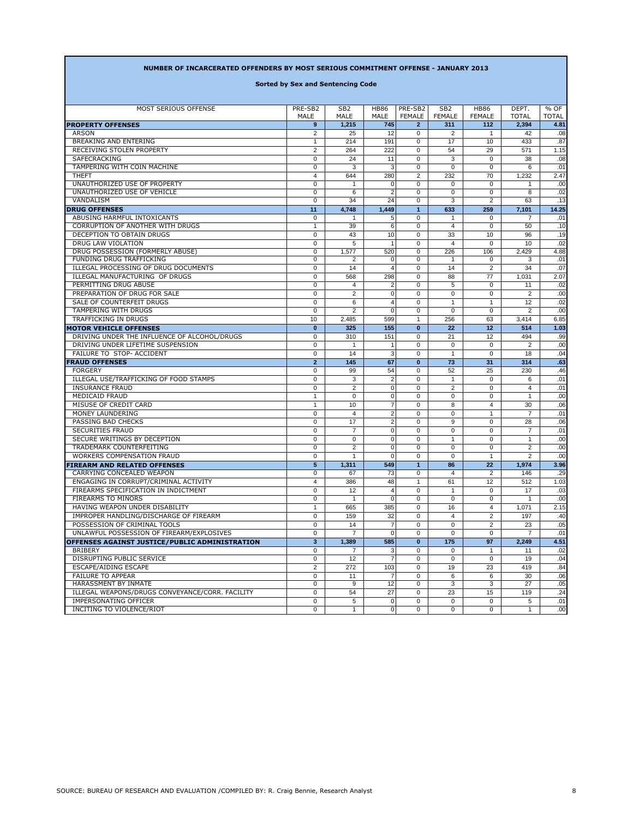|  |  |  | NUMBER OF INCARCERATED OFFENDERS BY MOST SERIOUS COMMITMENT OFFENSE - JANUARY 2013 |
|--|--|--|------------------------------------------------------------------------------------|
|  |  |  |                                                                                    |

**Sorted by Sex and Sentencing Code**

| <b>MOST SERIOUS OFFENSE</b>                     | PRE-SB2                        | SB <sub>2</sub> | <b>HB86</b>              | PRE-SB2          | SB <sub>2</sub>      | <b>HB86</b>          | DEPT.          | % OF             |
|-------------------------------------------------|--------------------------------|-----------------|--------------------------|------------------|----------------------|----------------------|----------------|------------------|
|                                                 | MALE                           | MALE            | <b>MALE</b>              | <b>FEMALE</b>    | <b>FEMALE</b>        | <b>FEMALE</b>        | <b>TOTAL</b>   | <b>TOTAL</b>     |
| <b>PROPERTY OFFENSES</b>                        | 9                              | 1,215           | 745                      | $\overline{2}$   | 311                  | 112                  | 2,394          | 4.81             |
| <b>ARSON</b><br><b>BREAKING AND ENTERING</b>    | $\overline{2}$<br>$\mathbf{1}$ | 25<br>214       | 12<br>191                | 0<br>$\mathbf 0$ | $\overline{2}$<br>17 | $\overline{1}$<br>10 | 42<br>433      | .08<br>.87       |
| RECEIVING STOLEN PROPERTY                       | $\overline{2}$                 | 264             | 222                      | $\mathbf 0$      | 54                   | 29                   | 571            | 1.15             |
| SAFECRACKING                                    | $\mathbf 0$                    | 24              |                          | 0                | 3                    | $\Omega$             | 38             |                  |
| TAMPERING WITH COIN MACHINE                     | $\mathbf 0$                    | 3               | 11<br>3                  | $\mathbf 0$      | $\Omega$             | $\Omega$             | 6              | .08 <sub>1</sub> |
| <b>THEFT</b>                                    | 4                              | 644             |                          | 2                | 232                  | 70                   |                | .01<br>2.47      |
| UNAUTHORIZED USE OF PROPERTY                    | $\Omega$                       | 1               | 280<br>$\Omega$          | $\Omega$         | $\Omega$             | $\Omega$             | 1,232<br>1     | .00 <sub>1</sub> |
| UNAUTHORIZED USE OF VEHICLE                     | $\mathbf 0$                    | 6               | 2                        | $\mathbf 0$      | 0                    | $\mathbf 0$          | 8              | .02              |
| VANDALISM                                       | $\mathbf 0$                    | 34              | 24                       | $\mathbf 0$      | 3                    | $\overline{2}$       | 63             | .13              |
| <b>DRUG OFFENSES</b>                            | 11                             | 4,748           | 1,449                    | $\mathbf{1}$     | 633                  | 259                  | 7,101          | 14.25            |
| ABUSING HARMFUL INTOXICANTS                     | $\mathbf 0$                    | 1               | 5                        | $\mathbf 0$      | $\mathbf{1}$         | $\mathbf 0$          | $\overline{7}$ | .01              |
| CORRUPTION OF ANOTHER WITH DRUGS                | $\mathbf{1}$                   | 39              | 6                        | $\mathbf 0$      | $\overline{4}$       | $\Omega$             | 50             | .10              |
| DECEPTION TO OBTAIN DRUGS                       | $\mathbf 0$                    | 43              | 10                       | $\Omega$         | 33                   | 10                   | 96             | .19              |
| DRUG LAW VIOLATION                              | $\mathbf 0$                    | 5               |                          | $\mathbf 0$      | $\overline{4}$       | $\Omega$             | 10             | .02              |
| DRUG POSSESSION (FORMERLY ABUSE)                | $\mathbf 0$                    | 1,577           | 520                      | $\mathbf 0$      | 226                  | 106                  | 2,429          | 4.88             |
| FUNDING DRUG TRAFFICKING                        | $\mathbf 0$                    | $\overline{2}$  | $\Omega$                 | $\mathbf 0$      | $\mathbf{1}$         | $\mathbf 0$          | 3              | .01              |
| ILLEGAL PROCESSING OF DRUG DOCUMENTS            | $\mathbf 0$                    | 14              | $\overline{\mathcal{A}}$ | $\Omega$         | 14                   | 2                    | 34             | .07              |
| ILLEGAL MANUFACTURING OF DRUGS                  | $\mathbf 0$                    | 568             | 298                      | $\mathbf 0$      | 88                   | 77                   | 1,031          | 2.07             |
| PERMITTING DRUG ABUSE                           | $\Omega$                       | 4               | $\overline{2}$           | $\Omega$         | 5                    | $\Omega$             | 11             | .02              |
| PREPARATION OF DRUG FOR SALE                    | $\mathbf 0$                    | 2               | $\mathbf 0$              | $\mathbf 0$      | $\Omega$             | $\Omega$             | 2              | .00 <sub>l</sub> |
| SALE OF COUNTERFEIT DRUGS                       | $\mathbf 0$                    | 6               | 4                        | $\Omega$         | $\mathbf{1}$         | $\mathbf{1}$         | 12             | .02              |
| <b>TAMPERING WITH DRUGS</b>                     | $\mathbf 0$                    | $\overline{2}$  | $\Omega$                 | $\mathbf 0$      | $\Omega$             | $\Omega$             | 2              | .00 <sub>1</sub> |
| <b>TRAFFICKING IN DRUGS</b>                     | 10                             | 2,485           | 599                      | $\mathbf{1}$     | 256                  | 63                   | 3,414          | 6.85             |
| <b>MOTOR VEHICLE OFFENSES</b>                   | $\bf{0}$                       | 325             | 155                      | $\bf{0}$         | 22                   | 12                   | 514            | 1.03             |
| DRIVING UNDER THE INFLUENCE OF ALCOHOL/DRUGS    | $\mathbf 0$                    | 310             | 151                      | $\mathbf 0$      | 21                   | $12 \overline{ }$    | 494            | .99 <sub>1</sub> |
| DRIVING UNDER LIFETIME SUSPENSION               | $\mathbf 0$                    | $\mathbf{1}$    | $\overline{1}$           | $\mathbf 0$      | $\Omega$             | $\Omega$             | 2              | .00 <sub>1</sub> |
| FAILURE TO STOP- ACCIDENT                       | $\mathbf 0$                    | 14              | 3                        | $\mathbf 0$      | $\mathbf{1}$         | $\Omega$             | 18             | .04              |
| <b>FRAUD OFFENSES</b>                           | $\overline{2}$                 | 145             | 67                       | $\mathbf{0}$     | 73                   | 31                   | 314            | .63              |
| <b>FORGERY</b>                                  | $\mathbf 0$                    | 99              | 54                       | $\mathbf 0$      | 52                   | 25                   | 230            | .46              |
| ILLEGAL USE/TRAFFICKING OF FOOD STAMPS          | $\mathbf 0$                    | 3               | $\overline{2}$           | $\Omega$         | $\mathbf{1}$         | $\Omega$             | 6              | .01              |
| <b>INSURANCE FRAUD</b>                          | $\mathbf 0$                    | $\overline{2}$  | $\Omega$                 | $\mathbf 0$      | 2                    | $\Omega$             | 4              | .01              |
| <b>MEDICAID FRAUD</b>                           | $\mathbf{1}$                   | $\Omega$        | $\Omega$                 | 0                | $\Omega$             | $\Omega$             | $\mathbf{1}$   | .00 <sub>1</sub> |
| MISUSE OF CREDIT CARD                           | $\mathbf{1}$                   | 10              | 7                        | $\mathbf 0$      | 8                    | 4                    | 30             | .06              |
| MONEY LAUNDERING                                | 0                              | $\overline{4}$  | $\overline{2}$           | $\Omega$         | $\Omega$             | $\mathbf{1}$         | $\overline{7}$ | .01              |
| PASSING BAD CHECKS                              | $\mathbf 0$                    | 17              | $\overline{2}$           | $\Omega$         | 9                    | $\Omega$             | 28             | .06              |
| <b>SECURITIES FRAUD</b>                         | $\mathbf 0$                    | $\overline{7}$  | $\Omega$                 | $\mathbf 0$      | 0                    | $\mathbf 0$          | $\overline{7}$ | .01              |
| SECURE WRITINGS BY DECEPTION                    | 0                              | $\mathbf 0$     | 0                        | $\mathbf 0$      | $\mathbf{1}$         | $\mathbf 0$          | $\mathbf{1}$   | .00              |
| TRADEMARK COUNTERFEITING                        | $\Omega$                       | $\overline{2}$  | $\Omega$                 | $\Omega$         | 0                    | $\Omega$             | 2              | .00 <sub>l</sub> |
| <b>WORKERS COMPENSATION FRAUD</b>               | $\mathbf 0$                    | $\mathbf{1}$    | $\Omega$                 | $\Omega$         | $\mathbf{0}$         | $\mathbf{1}$         | 2              | .00 <sub>1</sub> |
| <b>FIREARM AND RELATED OFFENSES</b>             | 5 <sup>5</sup>                 | 1,311           | 549                      | $\mathbf{1}$     | 86                   | 22                   | 1,974          | 3.96             |
| CARRYING CONCEALED WEAPON                       | $\mathbf 0$                    | 67              | 73                       | $\Omega$         | $\overline{4}$       | $\overline{2}$       | 146            | .29              |
| ENGAGING IN CORRUPT/CRIMINAL ACTIVITY           | 4                              | 386             | 48                       | $\mathbf{1}$     | 61                   | 12                   | 512            | 1.03             |
| FIREARMS SPECIFICATION IN INDICTMENT            | $\mathbf 0$                    | 12              | $\overline{4}$           | $\mathbf 0$      | $\mathbf{1}$         | $\mathbf 0$          | 17             | .03              |
| FIREARMS TO MINORS                              | $\mathbf 0$                    | $\mathbf{1}$    | 0                        | $\mathbf 0$      | 0                    | $\mathbf 0$          | $\mathbf{1}$   | .00 <sub>1</sub> |
| HAVING WEAPON UNDER DISABILITY                  | 1                              | 665             | 385                      | $\mathbf 0$      | 16                   | 4                    | 1,071          | 2.15             |
| IMPROPER HANDLING/DISCHARGE OF FIREARM          | $\mathbf 0$                    | 159             | 32                       | $\mathbf 0$      | 4                    | 2                    | 197            | .40              |
| POSSESSION OF CRIMINAL TOOLS                    | $\mathbf 0$                    | 14              | $\overline{7}$           | $\mathbf 0$      | $\mathbf 0$          | $\overline{2}$       | 23             | .05              |
| UNLAWFUL POSSESSION OF FIREARM/EXPLOSIVES       | $\mathbf 0$                    | $\overline{7}$  | $\mathbf 0$              | $\mathbf 0$      | 0                    | $\Omega$             | $\overline{7}$ | .01              |
| OFFENSES AGAINST JUSTICE/PUBLIC ADMINISTRATION  | 3 <sup>2</sup>                 | 1,389           | 585                      | $\bf{0}$         | 175                  | 97                   | 2,249          | 4.51             |
| <b>BRIBERY</b>                                  | $\mathbf 0$                    | 7               | 3                        | 0                | 0                    | -1                   | 11             | .02              |
| DISRUPTING PUBLIC SERVICE                       | 0                              | 12              | $\overline{7}$           | $\mathbf 0$      | $\mathbf{0}$         | $\mathbf 0$          | 19             | .04              |
| ESCAPE/AIDING ESCAPE                            | 2                              | 272             | 103                      | $\mathbf 0$      | 19                   | 23                   | 419            | .84              |
| <b>FAILURE TO APPEAR</b>                        | $\mathbf 0$                    | 11              | $\overline{7}$           | 0                | 6                    | 6                    | 30             | .06              |
| HARASSMENT BY INMATE                            | $\mathbf 0$                    | 9               | 12                       | 0                | 3                    | 3                    | 27             | .05              |
| ILLEGAL WEAPONS/DRUGS CONVEYANCE/CORR. FACILITY | $\mathbf 0$                    | 54              | 27                       | 0                | 23                   | 15                   | 119            | .24              |
| IMPERSONATING OFFICER                           | 0                              | 5               | $\mathbf 0$              | 0                | 0                    | $\mathbf 0$          | 5              | .01              |
| INCITING TO VIOLENCE/RIOT                       | $\mathbf 0$                    | $\mathbf{1}$    | 0                        | $\Omega$         | $\mathbf{0}$         | 0                    | $\mathbf{1}$   | .00 <sub>1</sub> |